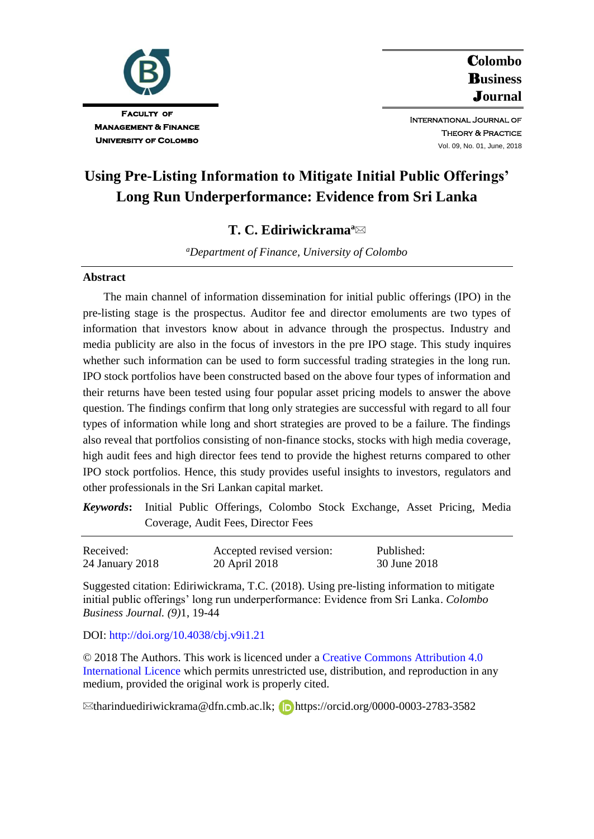

C**olombo**  B**usiness**  J**ournal**

International Journal of **THEORY & PRACTICE** Vol. 09, No. 01, June, 2018

# **Using Pre-Listing Information to Mitigate Initial Public Offerings' Long Run Underperformance: Evidence from Sri Lanka**

# **T. C. Ediriwickrama<sup>a</sup>**

*<sup>a</sup>Department of Finance, University of Colombo*

### **Abstract**

The main channel of information dissemination for initial public offerings (IPO) in the pre-listing stage is the prospectus. Auditor fee and director emoluments are two types of information that investors know about in advance through the prospectus. Industry and media publicity are also in the focus of investors in the pre IPO stage. This study inquires whether such information can be used to form successful trading strategies in the long run. IPO stock portfolios have been constructed based on the above four types of information and their returns have been tested using four popular asset pricing models to answer the above question. The findings confirm that long only strategies are successful with regard to all four types of information while long and short strategies are proved to be a failure. The findings also reveal that portfolios consisting of non-finance stocks, stocks with high media coverage, high audit fees and high director fees tend to provide the highest returns compared to other IPO stock portfolios. Hence, this study provides useful insights to investors, regulators and other professionals in the Sri Lankan capital market.

*Keywords***:** Initial Public Offerings, Colombo Stock Exchange, Asset Pricing, Media Coverage, Audit Fees, Director Fees

| Received:       | Accepted revised version: | Published:   |
|-----------------|---------------------------|--------------|
| 24 January 2018 | 20 April 2018             | 30 June 2018 |

Suggested citation: Ediriwickrama, T.C. (2018). Using pre-listing information to mitigate initial public offerings' long run underperformance: Evidence from Sri Lanka. *Colombo Business Journal. (9)*1, 19-44

#### DOI:<http://doi.org/10.4038/cbj.v9i1.21>

© 2018 The Authors. This work is licenced under a Creative [Commons Attribution 4.0](https://creativecommons.org/share-your-work/licensing-types-examples/licensing-examples/#by)  [International Licence](https://creativecommons.org/share-your-work/licensing-types-examples/licensing-examples/#by) which permits unrestricted use, distribution, and reproduction in any medium, provided the original work is properly cited.

⊠tharinduediriwickrama@dfn.cmb.ac.lk; **D**https://orcid.org/0000-0003-2783-3582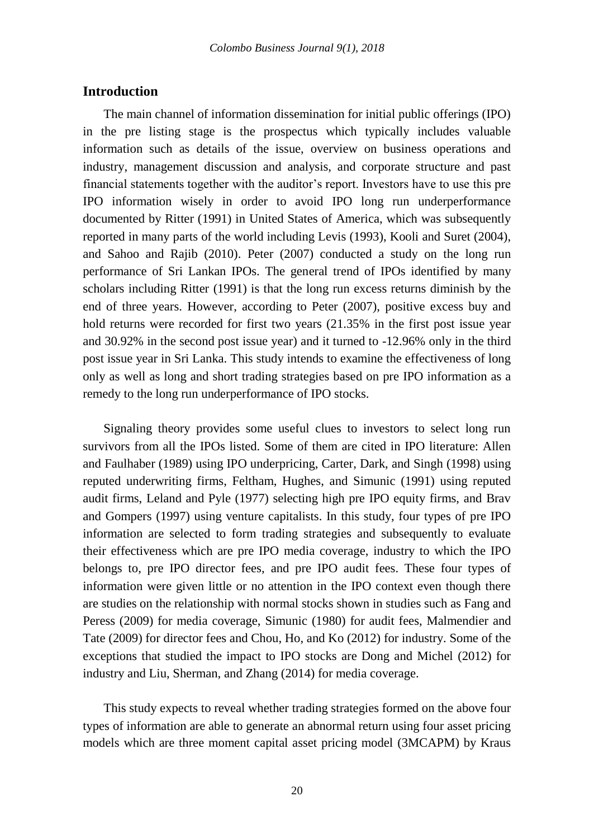# **Introduction**

The main channel of information dissemination for initial public offerings (IPO) in the pre listing stage is the prospectus which typically includes valuable information such as details of the issue, overview on business operations and industry, management discussion and analysis, and corporate structure and past financial statements together with the auditor's report. Investors have to use this pre IPO information wisely in order to avoid IPO long run underperformance documented by Ritter (1991) in United States of America, which was subsequently reported in many parts of the world including Levis (1993), Kooli and Suret (2004), and Sahoo and Rajib (2010). Peter (2007) conducted a study on the long run performance of Sri Lankan IPOs. The general trend of IPOs identified by many scholars including Ritter (1991) is that the long run excess returns diminish by the end of three years. However, according to Peter (2007), positive excess buy and hold returns were recorded for first two years (21.35% in the first post issue year and 30.92% in the second post issue year) and it turned to -12.96% only in the third post issue year in Sri Lanka. This study intends to examine the effectiveness of long only as well as long and short trading strategies based on pre IPO information as a remedy to the long run underperformance of IPO stocks.

Signaling theory provides some useful clues to investors to select long run survivors from all the IPOs listed. Some of them are cited in IPO literature: Allen and Faulhaber (1989) using IPO underpricing, Carter, Dark, and Singh (1998) using reputed underwriting firms, Feltham, Hughes, and Simunic (1991) using reputed audit firms, Leland and Pyle (1977) selecting high pre IPO equity firms, and Brav and Gompers (1997) using venture capitalists. In this study, four types of pre IPO information are selected to form trading strategies and subsequently to evaluate their effectiveness which are pre IPO media coverage, industry to which the IPO belongs to, pre IPO director fees, and pre IPO audit fees. These four types of information were given little or no attention in the IPO context even though there are studies on the relationship with normal stocks shown in studies such as Fang and Peress (2009) for media coverage, Simunic (1980) for audit fees, Malmendier and Tate (2009) for director fees and Chou, Ho, and Ko (2012) for industry. Some of the exceptions that studied the impact to IPO stocks are Dong and Michel (2012) for industry and Liu, Sherman, and Zhang (2014) for media coverage.

This study expects to reveal whether trading strategies formed on the above four types of information are able to generate an abnormal return using four asset pricing models which are three moment capital asset pricing model (3MCAPM) by Kraus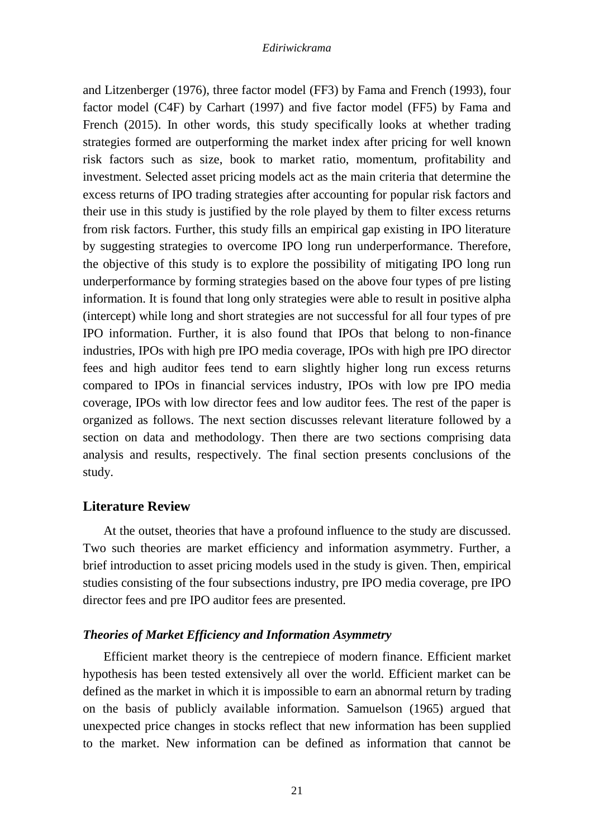and Litzenberger (1976), three factor model (FF3) by Fama and French (1993), four factor model (C4F) by Carhart (1997) and five factor model (FF5) by Fama and French (2015). In other words, this study specifically looks at whether trading strategies formed are outperforming the market index after pricing for well known risk factors such as size, book to market ratio, momentum, profitability and investment. Selected asset pricing models act as the main criteria that determine the excess returns of IPO trading strategies after accounting for popular risk factors and their use in this study is justified by the role played by them to filter excess returns from risk factors. Further, this study fills an empirical gap existing in IPO literature by suggesting strategies to overcome IPO long run underperformance. Therefore, the objective of this study is to explore the possibility of mitigating IPO long run underperformance by forming strategies based on the above four types of pre listing information. It is found that long only strategies were able to result in positive alpha (intercept) while long and short strategies are not successful for all four types of pre IPO information. Further, it is also found that IPOs that belong to non-finance industries, IPOs with high pre IPO media coverage, IPOs with high pre IPO director fees and high auditor fees tend to earn slightly higher long run excess returns compared to IPOs in financial services industry, IPOs with low pre IPO media coverage, IPOs with low director fees and low auditor fees. The rest of the paper is organized as follows. The next section discusses relevant literature followed by a section on data and methodology. Then there are two sections comprising data analysis and results, respectively. The final section presents conclusions of the study.

# **Literature Review**

At the outset, theories that have a profound influence to the study are discussed. Two such theories are market efficiency and information asymmetry. Further, a brief introduction to asset pricing models used in the study is given. Then, empirical studies consisting of the four subsections industry, pre IPO media coverage, pre IPO director fees and pre IPO auditor fees are presented.

# *Theories of Market Efficiency and Information Asymmetry*

Efficient market theory is the centrepiece of modern finance. Efficient market hypothesis has been tested extensively all over the world. Efficient market can be defined as the market in which it is impossible to earn an abnormal return by trading on the basis of publicly available information. Samuelson (1965) argued that unexpected price changes in stocks reflect that new information has been supplied to the market. New information can be defined as information that cannot be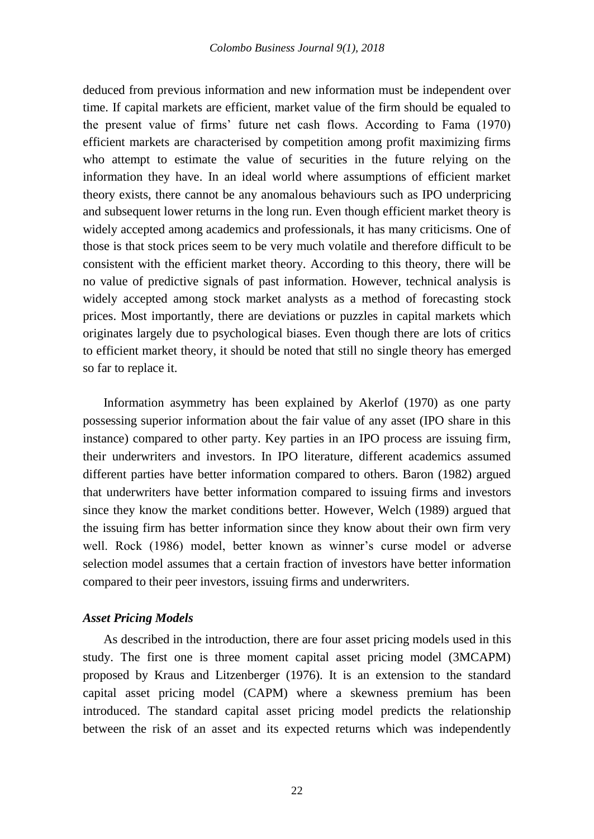deduced from previous information and new information must be independent over time. If capital markets are efficient, market value of the firm should be equaled to the present value of firms' future net cash flows. According to Fama (1970) efficient markets are characterised by competition among profit maximizing firms who attempt to estimate the value of securities in the future relying on the information they have. In an ideal world where assumptions of efficient market theory exists, there cannot be any anomalous behaviours such as IPO underpricing and subsequent lower returns in the long run. Even though efficient market theory is widely accepted among academics and professionals, it has many criticisms. One of those is that stock prices seem to be very much volatile and therefore difficult to be consistent with the efficient market theory. According to this theory, there will be no value of predictive signals of past information. However, technical analysis is widely accepted among stock market analysts as a method of forecasting stock prices. Most importantly, there are deviations or puzzles in capital markets which originates largely due to psychological biases. Even though there are lots of critics to efficient market theory, it should be noted that still no single theory has emerged so far to replace it.

Information asymmetry has been explained by Akerlof (1970) as one party possessing superior information about the fair value of any asset (IPO share in this instance) compared to other party. Key parties in an IPO process are issuing firm, their underwriters and investors. In IPO literature, different academics assumed different parties have better information compared to others. Baron (1982) argued that underwriters have better information compared to issuing firms and investors since they know the market conditions better. However, Welch (1989) argued that the issuing firm has better information since they know about their own firm very well. Rock (1986) model, better known as winner's curse model or adverse selection model assumes that a certain fraction of investors have better information compared to their peer investors, issuing firms and underwriters.

#### *Asset Pricing Models*

As described in the introduction, there are four asset pricing models used in this study. The first one is three moment capital asset pricing model (3MCAPM) proposed by Kraus and Litzenberger (1976). It is an extension to the standard capital asset pricing model (CAPM) where a skewness premium has been introduced. The standard capital asset pricing model predicts the relationship between the risk of an asset and its expected returns which was independently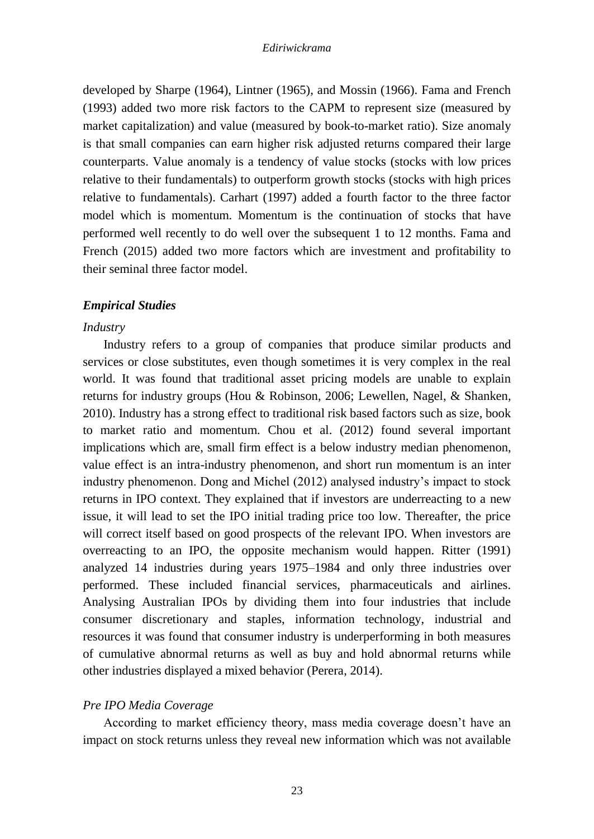developed by Sharpe (1964), Lintner (1965), and Mossin (1966). Fama and French (1993) added two more risk factors to the CAPM to represent size (measured by market capitalization) and value (measured by book-to-market ratio). Size anomaly is that small companies can earn higher risk adjusted returns compared their large counterparts. Value anomaly is a tendency of value stocks (stocks with low prices relative to their fundamentals) to outperform growth stocks (stocks with high prices relative to fundamentals). Carhart (1997) added a fourth factor to the three factor model which is momentum. Momentum is the continuation of stocks that have performed well recently to do well over the subsequent 1 to 12 months. Fama and French (2015) added two more factors which are investment and profitability to their seminal three factor model.

# *Empirical Studies*

### *Industry*

Industry refers to a group of companies that produce similar products and services or close substitutes, even though sometimes it is very complex in the real world. It was found that traditional asset pricing models are unable to explain returns for industry groups (Hou & Robinson, 2006; Lewellen, Nagel, & Shanken, 2010). Industry has a strong effect to traditional risk based factors such as size, book to market ratio and momentum. Chou et al. (2012) found several important implications which are, small firm effect is a below industry median phenomenon, value effect is an intra-industry phenomenon, and short run momentum is an inter industry phenomenon. Dong and Michel (2012) analysed industry's impact to stock returns in IPO context. They explained that if investors are underreacting to a new issue, it will lead to set the IPO initial trading price too low. Thereafter, the price will correct itself based on good prospects of the relevant IPO. When investors are overreacting to an IPO, the opposite mechanism would happen. Ritter (1991) analyzed 14 industries during years 1975–1984 and only three industries over performed. These included financial services, pharmaceuticals and airlines. Analysing Australian IPOs by dividing them into four industries that include consumer discretionary and staples, information technology, industrial and resources it was found that consumer industry is underperforming in both measures of cumulative abnormal returns as well as buy and hold abnormal returns while other industries displayed a mixed behavior (Perera, 2014).

# *Pre IPO Media Coverage*

According to market efficiency theory, mass media coverage doesn't have an impact on stock returns unless they reveal new information which was not available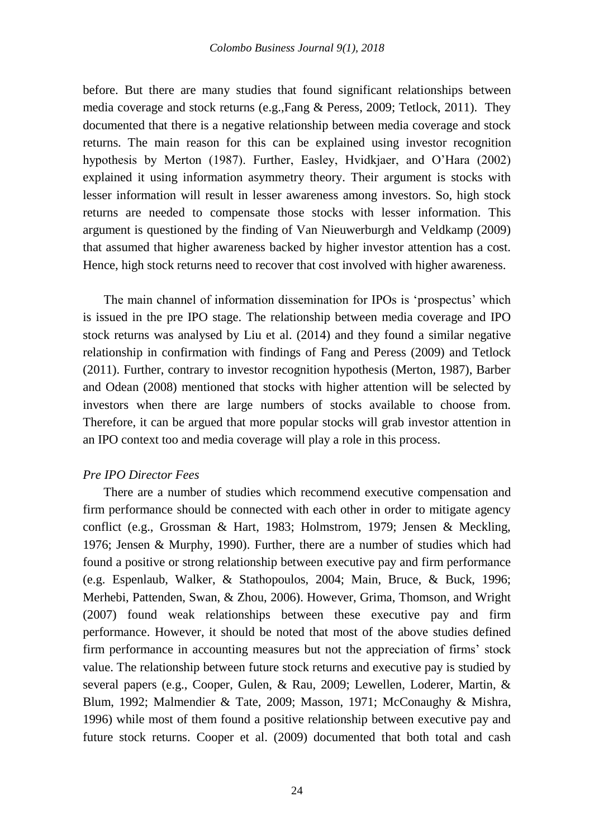before. But there are many studies that found significant relationships between media coverage and stock returns (e.g., Fang  $\&$  Peress, 2009; Tetlock, 2011). They documented that there is a negative relationship between media coverage and stock returns. The main reason for this can be explained using investor recognition hypothesis by Merton (1987). Further, Easley, Hvidkjaer, and O'Hara (2002) explained it using information asymmetry theory. Their argument is stocks with lesser information will result in lesser awareness among investors. So, high stock returns are needed to compensate those stocks with lesser information. This argument is questioned by the finding of Van Nieuwerburgh and Veldkamp (2009) that assumed that higher awareness backed by higher investor attention has a cost. Hence, high stock returns need to recover that cost involved with higher awareness.

The main channel of information dissemination for IPOs is 'prospectus' which is issued in the pre IPO stage. The relationship between media coverage and IPO stock returns was analysed by Liu et al. (2014) and they found a similar negative relationship in confirmation with findings of Fang and Peress (2009) and Tetlock (2011). Further, contrary to investor recognition hypothesis (Merton, 1987), Barber and Odean (2008) mentioned that stocks with higher attention will be selected by investors when there are large numbers of stocks available to choose from. Therefore, it can be argued that more popular stocks will grab investor attention in an IPO context too and media coverage will play a role in this process.

# *Pre IPO Director Fees*

There are a number of studies which recommend executive compensation and firm performance should be connected with each other in order to mitigate agency conflict (e.g., Grossman & Hart, 1983; Holmstrom, 1979; Jensen & Meckling, 1976; Jensen & Murphy, 1990). Further, there are a number of studies which had found a positive or strong relationship between executive pay and firm performance (e.g. Espenlaub, Walker, & Stathopoulos, 2004; Main, Bruce, & Buck, 1996; Merhebi, Pattenden, Swan, & Zhou, 2006). However, Grima, Thomson, and Wright (2007) found weak relationships between these executive pay and firm performance. However, it should be noted that most of the above studies defined firm performance in accounting measures but not the appreciation of firms' stock value. The relationship between future stock returns and executive pay is studied by several papers (e.g., Cooper, Gulen, & Rau, 2009; Lewellen, Loderer, Martin, & Blum, 1992; Malmendier & Tate, 2009; Masson, 1971; McConaughy & Mishra, 1996) while most of them found a positive relationship between executive pay and future stock returns. Cooper et al. (2009) documented that both total and cash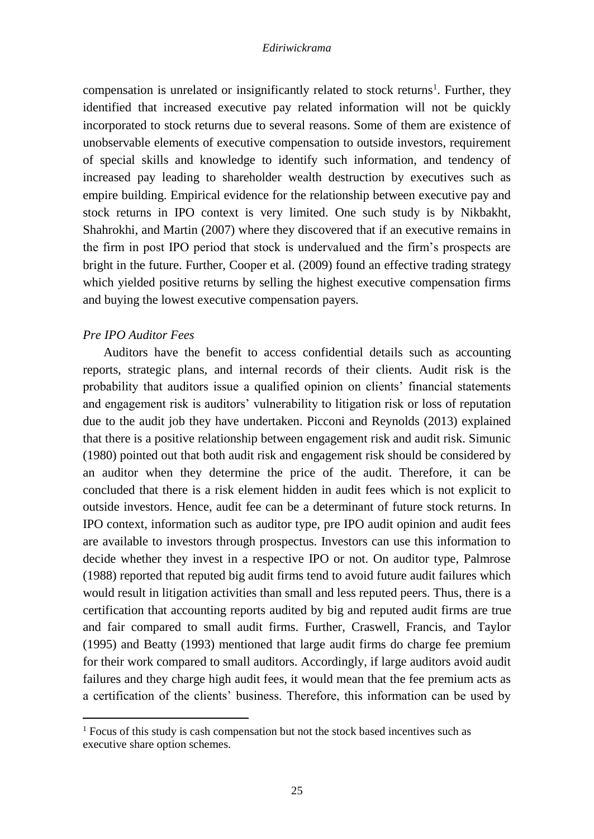compensation is unrelated or insignificantly related to stock returns<sup>1</sup>. Further, they identified that increased executive pay related information will not be quickly incorporated to stock returns due to several reasons. Some of them are existence of unobservable elements of executive compensation to outside investors, requirement of special skills and knowledge to identify such information, and tendency of increased pay leading to shareholder wealth destruction by executives such as empire building. Empirical evidence for the relationship between executive pay and stock returns in IPO context is very limited. One such study is by Nikbakht, Shahrokhi, and Martin (2007) where they discovered that if an executive remains in the firm in post IPO period that stock is undervalued and the firm's prospects are bright in the future. Further, Cooper et al. (2009) found an effective trading strategy which yielded positive returns by selling the highest executive compensation firms and buying the lowest executive compensation payers.

# *Pre IPO Auditor Fees*

1

Auditors have the benefit to access confidential details such as accounting reports, strategic plans, and internal records of their clients. Audit risk is the probability that auditors issue a qualified opinion on clients' financial statements and engagement risk is auditors' vulnerability to litigation risk or loss of reputation due to the audit job they have undertaken. Picconi and Reynolds (2013) explained that there is a positive relationship between engagement risk and audit risk. Simunic (1980) pointed out that both audit risk and engagement risk should be considered by an auditor when they determine the price of the audit. Therefore, it can be concluded that there is a risk element hidden in audit fees which is not explicit to outside investors. Hence, audit fee can be a determinant of future stock returns. In IPO context, information such as auditor type, pre IPO audit opinion and audit fees are available to investors through prospectus. Investors can use this information to decide whether they invest in a respective IPO or not. On auditor type, Palmrose (1988) reported that reputed big audit firms tend to avoid future audit failures which would result in litigation activities than small and less reputed peers. Thus, there is a certification that accounting reports audited by big and reputed audit firms are true and fair compared to small audit firms. Further, Craswell, Francis, and Taylor (1995) and Beatty (1993) mentioned that large audit firms do charge fee premium for their work compared to small auditors. Accordingly, if large auditors avoid audit failures and they charge high audit fees, it would mean that the fee premium acts as a certification of the clients' business. Therefore, this information can be used by

<sup>&</sup>lt;sup>1</sup> Focus of this study is cash compensation but not the stock based incentives such as executive share option schemes.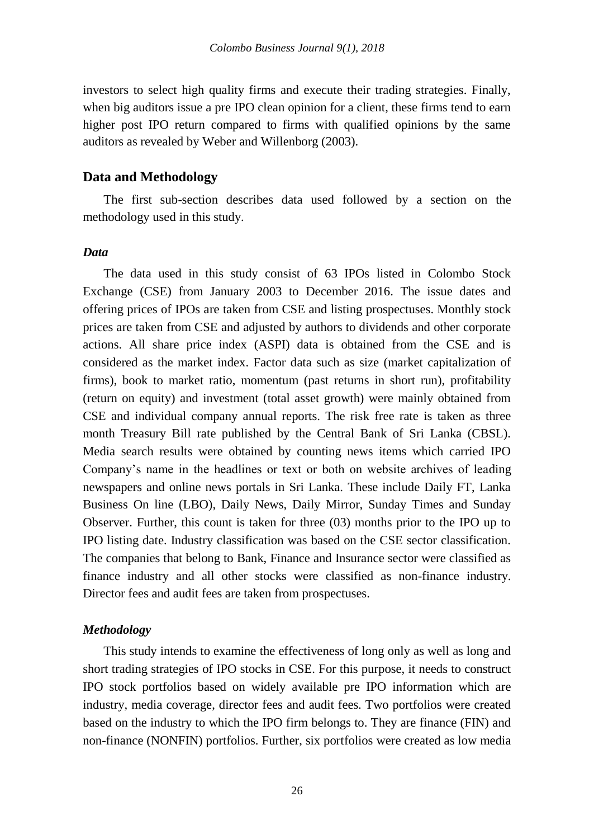investors to select high quality firms and execute their trading strategies. Finally, when big auditors issue a pre IPO clean opinion for a client, these firms tend to earn higher post IPO return compared to firms with qualified opinions by the same auditors as revealed by Weber and Willenborg (2003).

# **Data and Methodology**

The first sub-section describes data used followed by a section on the methodology used in this study.

### *Data*

The data used in this study consist of 63 IPOs listed in Colombo Stock Exchange (CSE) from January 2003 to December 2016. The issue dates and offering prices of IPOs are taken from CSE and listing prospectuses. Monthly stock prices are taken from CSE and adjusted by authors to dividends and other corporate actions. All share price index (ASPI) data is obtained from the CSE and is considered as the market index. Factor data such as size (market capitalization of firms), book to market ratio, momentum (past returns in short run), profitability (return on equity) and investment (total asset growth) were mainly obtained from CSE and individual company annual reports. The risk free rate is taken as three month Treasury Bill rate published by the Central Bank of Sri Lanka (CBSL). Media search results were obtained by counting news items which carried IPO Company's name in the headlines or text or both on website archives of leading newspapers and online news portals in Sri Lanka. These include Daily FT, Lanka Business On line (LBO), Daily News, Daily Mirror, Sunday Times and Sunday Observer. Further, this count is taken for three (03) months prior to the IPO up to IPO listing date. Industry classification was based on the CSE sector classification. The companies that belong to Bank, Finance and Insurance sector were classified as finance industry and all other stocks were classified as non-finance industry. Director fees and audit fees are taken from prospectuses.

#### *Methodology*

This study intends to examine the effectiveness of long only as well as long and short trading strategies of IPO stocks in CSE. For this purpose, it needs to construct IPO stock portfolios based on widely available pre IPO information which are industry, media coverage, director fees and audit fees. Two portfolios were created based on the industry to which the IPO firm belongs to. They are finance (FIN) and non-finance (NONFIN) portfolios. Further, six portfolios were created as low media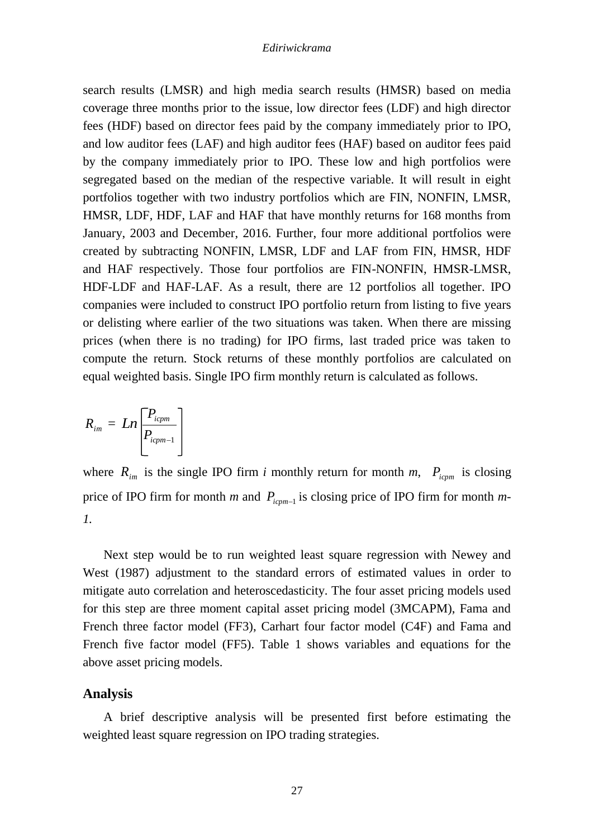search results (LMSR) and high media search results (HMSR) based on media coverage three months prior to the issue, low director fees (LDF) and high director fees (HDF) based on director fees paid by the company immediately prior to IPO, and low auditor fees (LAF) and high auditor fees (HAF) based on auditor fees paid by the company immediately prior to IPO. These low and high portfolios were segregated based on the median of the respective variable. It will result in eight portfolios together with two industry portfolios which are FIN, NONFIN, LMSR, HMSR, LDF, HDF, LAF and HAF that have monthly returns for 168 months from January, 2003 and December, 2016. Further, four more additional portfolios were created by subtracting NONFIN, LMSR, LDF and LAF from FIN, HMSR, HDF and HAF respectively. Those four portfolios are FIN-NONFIN, HMSR-LMSR, HDF-LDF and HAF-LAF. As a result, there are 12 portfolios all together. IPO companies were included to construct IPO portfolio return from listing to five years or delisting where earlier of the two situations was taken. When there are missing prices (when there is no trading) for IPO firms, last traded price was taken to compute the return. Stock returns of these monthly portfolios are calculated on equal weighted basis. Single IPO firm monthly return is calculated as follows.

$$
R_{im} = Ln \left[ \frac{P_{icpm}}{P_{icpm-1}} \right]
$$

where  $R_{im}$  is the single IPO firm *i* monthly return for month *m*,  $P_{icpm}$  is closing price of IPO firm for month *m* and  $P_{\text{icpm-1}}$  is closing price of IPO firm for month *m*-*1.*

Next step would be to run weighted least square regression with Newey and West (1987) adjustment to the standard errors of estimated values in order to mitigate auto correlation and heteroscedasticity. The four asset pricing models used for this step are three moment capital asset pricing model (3MCAPM), Fama and French three factor model (FF3), Carhart four factor model (C4F) and Fama and French five factor model (FF5). Table 1 shows variables and equations for the above asset pricing models.

### **Analysis**

A brief descriptive analysis will be presented first before estimating the weighted least square regression on IPO trading strategies.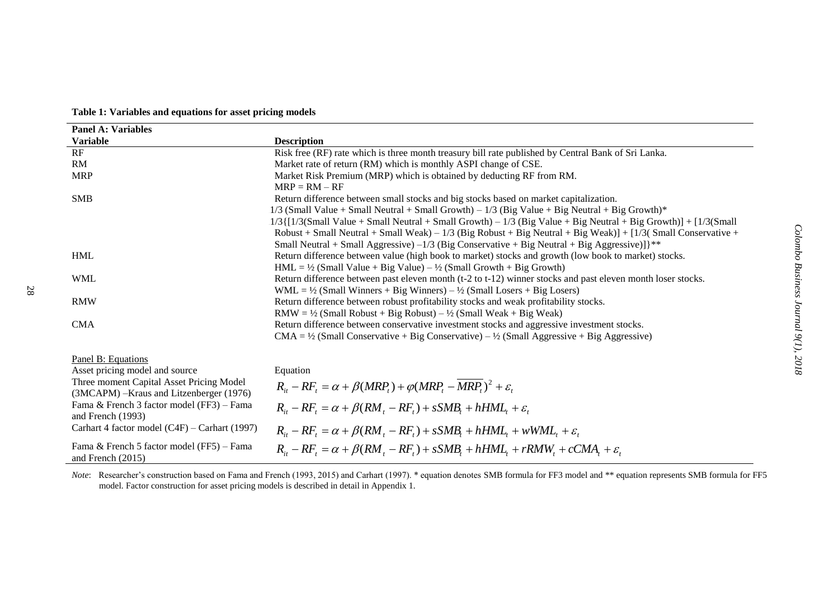| $1/3$ (Small<br>$ervative +$ |  |
|------------------------------|--|
| ŝ.                           |  |
|                              |  |
|                              |  |
|                              |  |

|  | Table 1: Variables and equations for asset pricing models |  |  |  |  |  |
|--|-----------------------------------------------------------|--|--|--|--|--|
|--|-----------------------------------------------------------|--|--|--|--|--|

**Variable Description**<br>RF Risk free (RI

RM Market rate of return (RM) which is monthly ASPI change of CSE.

MRP Market Risk Premium (MRP) which is obtained by deducting RF from RM.  $MRP = RM - RF$ 

SMB Return difference between small stocks and big stocks based on market capitalization.

**Panel A: Variables** 

|                                                                  | $1/3$ {[1/3(Small Value + Small Neutral + Small Growth) – $1/3$ (Big Value + Big Neutral + Big Growth)] + [1/3(Small   |
|------------------------------------------------------------------|------------------------------------------------------------------------------------------------------------------------|
|                                                                  | Robust + Small Neutral + Small Weak) – $1/3$ (Big Robust + Big Neutral + Big Weak)] + [1/3 (Small Conservative +       |
|                                                                  | Small Neutral + Small Aggressive) $-1/3$ (Big Conservative + Big Neutral + Big Aggressive)] $\$                        |
| <b>HML</b>                                                       | Return difference between value (high book to market) stocks and growth (low book to market) stocks.                   |
|                                                                  | $HML = \frac{1}{2}$ (Small Value + Big Value) – $\frac{1}{2}$ (Small Growth + Big Growth)                              |
| <b>WML</b>                                                       | Return difference between past eleven month (t-2 to t-12) winner stocks and past eleven month loser stocks.            |
|                                                                  | $WML = \frac{1}{2}$ (Small Winners + Big Winners) – $\frac{1}{2}$ (Small Losers + Big Losers)                          |
| <b>RMW</b>                                                       | Return difference between robust profitability stocks and weak profitability stocks.                                   |
|                                                                  | $RMW = \frac{1}{2}$ (Small Robust + Big Robust) – $\frac{1}{2}$ (Small Weak + Big Weak)                                |
| <b>CMA</b>                                                       | Return difference between conservative investment stocks and aggressive investment stocks.                             |
|                                                                  | CMA = $\frac{1}{2}$ (Small Conservative + Big Conservative) – $\frac{1}{2}$ (Small Aggressive + Big Aggressive)        |
|                                                                  |                                                                                                                        |
| Panel B: Equations                                               |                                                                                                                        |
| Asset pricing model and source                                   | Equation                                                                                                               |
| Three moment Capital Asset Pricing Model                         | $R_{it} - RF_{t} = \alpha + \beta(MRP_{t}) + \varphi(MRP_{t} - \overline{MRP_{t}})^{2} + \varepsilon_{t}$              |
| (3MCAPM) – Kraus and Litzenberger (1976)                         |                                                                                                                        |
| Fama & French 3 factor model (FF3) – Fama                        | $R_i - RF_i = \alpha + \beta (RM_i - RF_i) + sSMB_i + hHML_i + \varepsilon_i$                                          |
| and French $(1993)$                                              |                                                                                                                        |
| Carhart 4 factor model $(C4F)$ – Carhart (1997)                  | $R_{\mu} - RF_{\tau} = \alpha + \beta (RM_{\tau} - RF_{\tau}) + sSMB_{\tau} + hHML_{\tau} + wWML_{\tau} + \varepsilon$ |
| Fama & French 5 factor model (FF5) - Fama<br>and French $(2015)$ | $R_{ii} - RF_{i} = \alpha + \beta (RM_{i} - RF_{i}) + sSMB_{i} + hHML_{i} + rRMW_{i} + cCMA_{i} + \varepsilon$         |

Risk free (RF) rate which is three month treasury bill rate published by Central Bank of Sri Lanka.

1/3 (Small Value + Small Neutral + Small Growth) – 1/3 (Big Value + Big Neutral + Big Growth)\*

*Note*: Researcher's construction based on Fama and French (1993, 2015) and Carhart (1997). \* equation denotes SMB formula for FF3 model and \*\* equation represents SMB formula for FF5 model. Factor construction for asset pricing models is described in detail in Appendix 1.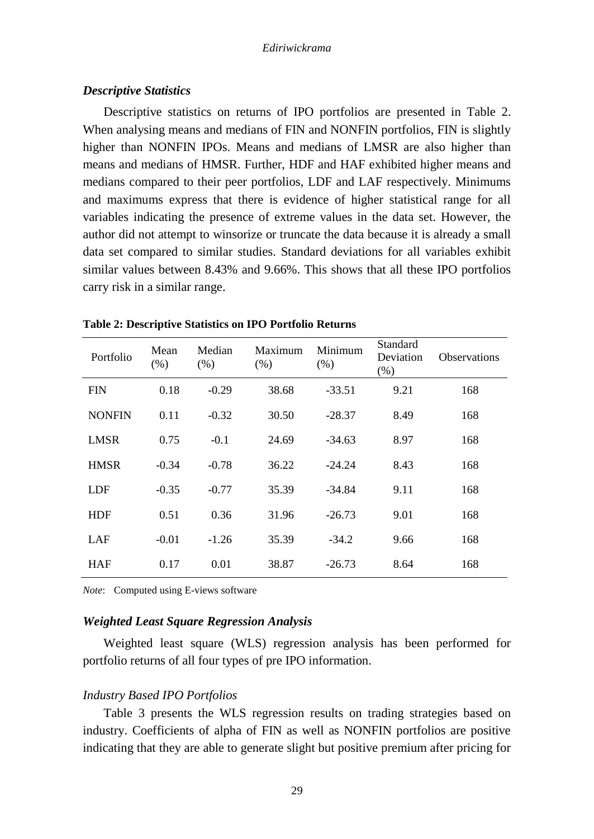# *Descriptive Statistics*

Descriptive statistics on returns of IPO portfolios are presented in Table 2. When analysing means and medians of FIN and NONFIN portfolios, FIN is slightly higher than NONFIN IPOs. Means and medians of LMSR are also higher than means and medians of HMSR. Further, HDF and HAF exhibited higher means and medians compared to their peer portfolios, LDF and LAF respectively. Minimums and maximums express that there is evidence of higher statistical range for all variables indicating the presence of extreme values in the data set. However, the author did not attempt to winsorize or truncate the data because it is already a small data set compared to similar studies. Standard deviations for all variables exhibit similar values between 8.43% and 9.66%. This shows that all these IPO portfolios carry risk in a similar range.

| Portfolio     | Mean<br>(% ) | Median<br>(% ) | Maximum<br>(% ) | Minimum<br>(%) | Standard<br>Deviation<br>(% ) | <b>Observations</b> |
|---------------|--------------|----------------|-----------------|----------------|-------------------------------|---------------------|
| <b>FIN</b>    | 0.18         | $-0.29$        | 38.68           | $-33.51$       | 9.21                          | 168                 |
| <b>NONFIN</b> | 0.11         | $-0.32$        | 30.50           | $-28.37$       | 8.49                          | 168                 |
| <b>LMSR</b>   | 0.75         | $-0.1$         | 24.69           | $-34.63$       | 8.97                          | 168                 |
| <b>HMSR</b>   | $-0.34$      | $-0.78$        | 36.22           | $-24.24$       | 8.43                          | 168                 |
| LDF           | $-0.35$      | $-0.77$        | 35.39           | $-34.84$       | 9.11                          | 168                 |
| <b>HDF</b>    | 0.51         | 0.36           | 31.96           | $-26.73$       | 9.01                          | 168                 |
| LAF           | $-0.01$      | $-1.26$        | 35.39           | $-34.2$        | 9.66                          | 168                 |
| HAF           | 0.17         | 0.01           | 38.87           | $-26.73$       | 8.64                          | 168                 |

**Table 2: Descriptive Statistics on IPO Portfolio Returns**

*Note*: Computed using E-views software

# *Weighted Least Square Regression Analysis*

Weighted least square (WLS) regression analysis has been performed for portfolio returns of all four types of pre IPO information.

### *Industry Based IPO Portfolios*

Table 3 presents the WLS regression results on trading strategies based on industry. Coefficients of alpha of FIN as well as NONFIN portfolios are positive indicating that they are able to generate slight but positive premium after pricing for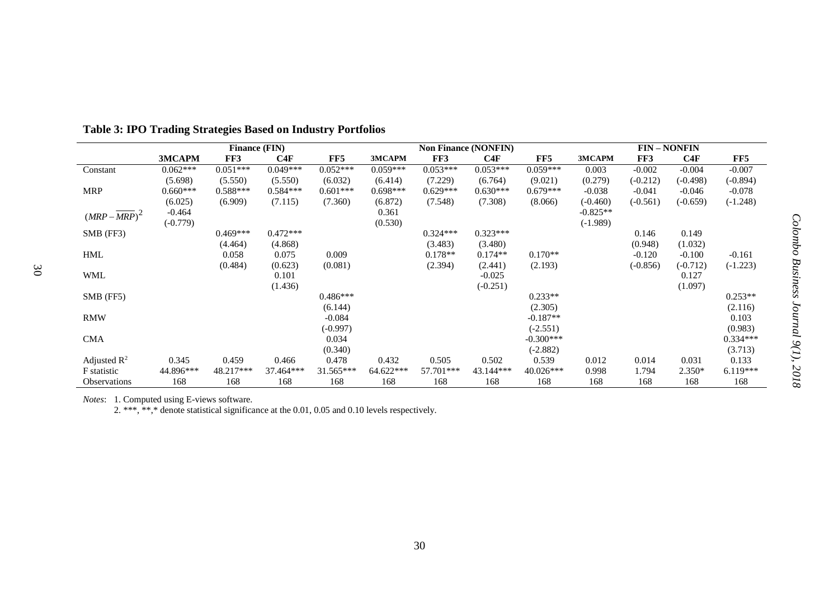|                         | <b>Finance (FIN)</b> |            |            |            | <b>Non Finance (NONFIN)</b> |            |            | <b>FIN-NONFIN</b> |            |            |            |            |
|-------------------------|----------------------|------------|------------|------------|-----------------------------|------------|------------|-------------------|------------|------------|------------|------------|
|                         | 3MCAPM               | FF3        | C4F        | FF5        | 3MCAPM                      | FF3        | C4F        | FF5               | 3MCAPM     | FF3        | C4F        | FF5        |
| Constant                | $0.062***$           | $0.051***$ | $0.049***$ | $0.052***$ | $0.059***$                  | $0.053***$ | $0.053***$ | $0.059***$        | 0.003      | $-0.002$   | $-0.004$   | $-0.007$   |
|                         | (5.698)              | (5.550)    | (5.550)    | (6.032)    | (6.414)                     | (7.229)    | (6.764)    | (9.021)           | (0.279)    | $(-0.212)$ | $(-0.498)$ | $(-0.894)$ |
| <b>MRP</b>              | $0.660***$           | $0.588***$ | $0.584***$ | $0.601***$ | $0.698***$                  | $0.629***$ | $0.630***$ | $0.679***$        | $-0.038$   | $-0.041$   | $-0.046$   | $-0.078$   |
|                         | (6.025)              | (6.909)    | (7.115)    | (7.360)    | (6.872)                     | (7.548)    | (7.308)    | (8.066)           | $(-0.460)$ | $(-0.561)$ | $(-0.659)$ | $(-1.248)$ |
| $(MRP-MRP)^2$           | $-0.464$             |            |            |            | 0.361                       |            |            |                   | $-0.825**$ |            |            |            |
|                         | $(-0.779)$           |            |            |            | (0.530)                     |            |            |                   | $(-1.989)$ |            |            |            |
| $SMB$ (FF3)             |                      | $0.469***$ | $0.472***$ |            |                             | $0.324***$ | $0.323***$ |                   |            | 0.146      | 0.149      |            |
|                         |                      | (4.464)    | (4.868)    |            |                             | (3.483)    | (3.480)    |                   |            | (0.948)    | (1.032)    |            |
| <b>HML</b>              |                      | 0.058      | 0.075      | 0.009      |                             | $0.178**$  | $0.174**$  | $0.170**$         |            | $-0.120$   | $-0.100$   | $-0.161$   |
|                         |                      | (0.484)    | (0.623)    | (0.081)    |                             | (2.394)    | (2.441)    | (2.193)           |            | $(-0.856)$ | $(-0.712)$ | $(-1.223)$ |
| <b>WML</b>              |                      |            | 0.101      |            |                             |            | $-0.025$   |                   |            |            | 0.127      |            |
|                         |                      |            | (1.436)    |            |                             |            | $(-0.251)$ |                   |            |            | (1.097)    |            |
| SMB (FF5)               |                      |            |            | $0.486***$ |                             |            |            | $0.233**$         |            |            |            | $0.253**$  |
|                         |                      |            |            | (6.144)    |                             |            |            | (2.305)           |            |            |            | (2.116)    |
| <b>RMW</b>              |                      |            |            | $-0.084$   |                             |            |            | $-0.187**$        |            |            |            | 0.103      |
|                         |                      |            |            | $(-0.997)$ |                             |            |            | $(-2.551)$        |            |            |            | (0.983)    |
| <b>CMA</b>              |                      |            |            | 0.034      |                             |            |            | $-0.300***$       |            |            |            | $0.334***$ |
|                         |                      |            |            | (0.340)    |                             |            |            | $(-2.882)$        |            |            |            | (3.713)    |
| Adjusted $\mathbb{R}^2$ | 0.345                | 0.459      | 0.466      | 0.478      | 0.432                       | 0.505      | 0.502      | 0.539             | 0.012      | 0.014      | 0.031      | 0.133      |
| F statistic             | 44.896***            | 48.217***  | 37.464***  | 31.565***  | 64.622***                   | 57.701***  | 43.144***  | $40.026***$       | 0.998      | 1.794      | 2.350*     | $6.119***$ |
| <b>Observations</b>     | 168                  | 168        | 168        | 168        | 168                         | 168        | 168        | 168               | 168        | 168        | 168        | 168        |

*Colombo Business Journal*

*9(1), 2018*

**Table 3: IPO Trading Strategies Based on Industry Portfolios**

*Notes*: 1. Computed using E-views software.

2. \*\*\*, \*\*,\* denote statistical significance at the 0.01, 0.05 and 0.10 levels respectively.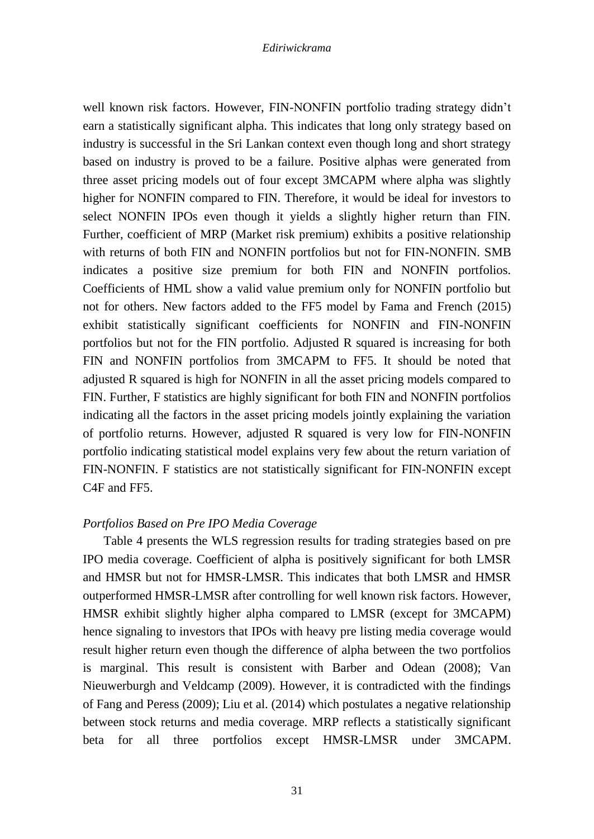well known risk factors. However, FIN-NONFIN portfolio trading strategy didn't earn a statistically significant alpha. This indicates that long only strategy based on industry is successful in the Sri Lankan context even though long and short strategy based on industry is proved to be a failure. Positive alphas were generated from three asset pricing models out of four except 3MCAPM where alpha was slightly higher for NONFIN compared to FIN. Therefore, it would be ideal for investors to select NONFIN IPOs even though it yields a slightly higher return than FIN. Further, coefficient of MRP (Market risk premium) exhibits a positive relationship with returns of both FIN and NONFIN portfolios but not for FIN-NONFIN. SMB indicates a positive size premium for both FIN and NONFIN portfolios. Coefficients of HML show a valid value premium only for NONFIN portfolio but not for others. New factors added to the FF5 model by Fama and French (2015) exhibit statistically significant coefficients for NONFIN and FIN-NONFIN portfolios but not for the FIN portfolio. Adjusted R squared is increasing for both FIN and NONFIN portfolios from 3MCAPM to FF5. It should be noted that adjusted R squared is high for NONFIN in all the asset pricing models compared to FIN. Further, F statistics are highly significant for both FIN and NONFIN portfolios indicating all the factors in the asset pricing models jointly explaining the variation of portfolio returns. However, adjusted R squared is very low for FIN-NONFIN portfolio indicating statistical model explains very few about the return variation of FIN-NONFIN. F statistics are not statistically significant for FIN-NONFIN except C4F and FF5.

### *Portfolios Based on Pre IPO Media Coverage*

Table 4 presents the WLS regression results for trading strategies based on pre IPO media coverage. Coefficient of alpha is positively significant for both LMSR and HMSR but not for HMSR-LMSR. This indicates that both LMSR and HMSR outperformed HMSR-LMSR after controlling for well known risk factors. However, HMSR exhibit slightly higher alpha compared to LMSR (except for 3MCAPM) hence signaling to investors that IPOs with heavy pre listing media coverage would result higher return even though the difference of alpha between the two portfolios is marginal. This result is consistent with Barber and Odean (2008); Van Nieuwerburgh and Veldcamp (2009). However, it is contradicted with the findings of Fang and Peress (2009); Liu et al. (2014) which postulates a negative relationship between stock returns and media coverage. MRP reflects a statistically significant beta for all three portfolios except HMSR-LMSR under 3MCAPM.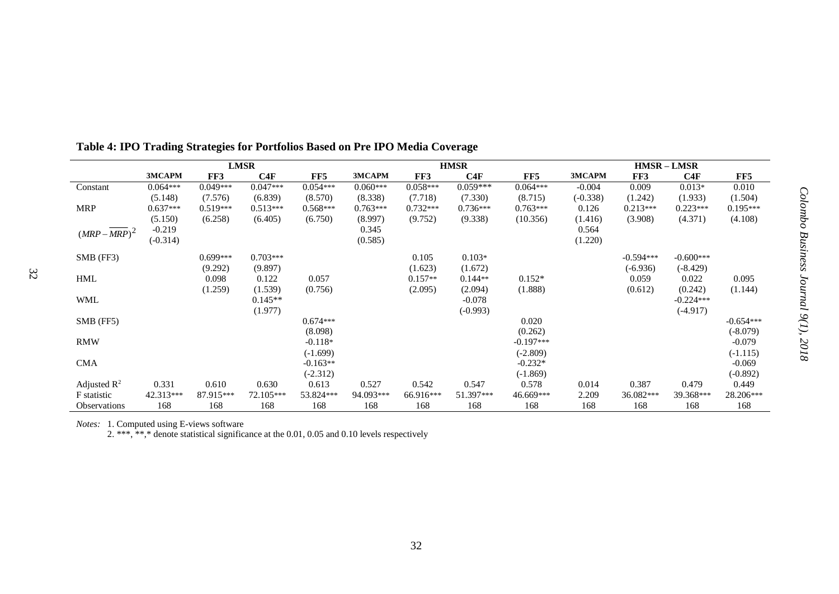|                         |            |            | <b>LMSR</b> |            |            |            | <b>HMSR</b> |             |            | $HMSR-LMSR$ |             |             |
|-------------------------|------------|------------|-------------|------------|------------|------------|-------------|-------------|------------|-------------|-------------|-------------|
|                         | 3MCAPM     | FF3        | C4F         | FF5        | 3MCAPM     | FF3        | C4F         | FF5         | 3MCAPM     | FF3         | C4F         | FF5         |
| Constant                | $0.064***$ | $0.049***$ | $0.047***$  | $0.054***$ | $0.060***$ | $0.058***$ | $0.059***$  | $0.064***$  | $-0.004$   | 0.009       | $0.013*$    | 0.010       |
|                         | (5.148)    | (7.576)    | (6.839)     | (8.570)    | (8.338)    | (7.718)    | (7.330)     | (8.715)     | $(-0.338)$ | (1.242)     | (1.933)     | (1.504)     |
| <b>MRP</b>              | $0.637***$ | $0.519***$ | $0.513***$  | $0.568***$ | $0.763***$ | $0.732***$ | $0.736***$  | $0.763***$  | 0.126      | $0.213***$  | $0.223***$  | $0.195***$  |
|                         | (5.150)    | (6.258)    | (6.405)     | (6.750)    | (8.997)    | (9.752)    | (9.338)     | (10.356)    | (1.416)    | (3.908)     | (4.371)     | (4.108)     |
| $(MRP-MRP)^2$           | $-0.219$   |            |             |            | 0.345      |            |             |             | 0.564      |             |             |             |
|                         | $(-0.314)$ |            |             |            | (0.585)    |            |             |             | (1.220)    |             |             |             |
| SMB (FF3)               |            | $0.699***$ | $0.703***$  |            |            | 0.105      | $0.103*$    |             |            | $-0.594***$ | $-0.600***$ |             |
|                         |            | (9.292)    | (9.897)     |            |            | (1.623)    | (1.672)     |             |            | $(-6.936)$  | $(-8.429)$  |             |
| <b>HML</b>              |            | 0.098      | 0.122       | 0.057      |            | $0.157**$  | $0.144**$   | $0.152*$    |            | 0.059       | 0.022       | 0.095       |
|                         |            | (1.259)    | (1.539)     | (0.756)    |            | (2.095)    | (2.094)     | (1.888)     |            | (0.612)     | (0.242)     | (1.144)     |
| <b>WML</b>              |            |            | $0.145**$   |            |            |            | $-0.078$    |             |            |             | $-0.224***$ |             |
|                         |            |            | (1.977)     |            |            |            | $(-0.993)$  |             |            |             | $(-4.917)$  |             |
| SMB (FF5)               |            |            |             | $0.674***$ |            |            |             | 0.020       |            |             |             | $-0.654***$ |
|                         |            |            |             | (8.098)    |            |            |             | (0.262)     |            |             |             | $(-8.079)$  |
| <b>RMW</b>              |            |            |             | $-0.118*$  |            |            |             | $-0.197***$ |            |             |             | $-0.079$    |
|                         |            |            |             | $(-1.699)$ |            |            |             | $(-2.809)$  |            |             |             | $(-1.115)$  |
| <b>CMA</b>              |            |            |             | $-0.163**$ |            |            |             | $-0.232*$   |            |             |             | $-0.069$    |
|                         |            |            |             | $(-2.312)$ |            |            |             | $(-1.869)$  |            |             |             | $(-0.892)$  |
| Adjusted $\mathbb{R}^2$ | 0.331      | 0.610      | 0.630       | 0.613      | 0.527      | 0.542      | 0.547       | 0.578       | 0.014      | 0.387       | 0.479       | 0.449       |
| F statistic             | 42.313***  | 87.915***  | 72.105***   | 53.824***  | 94.093***  | 66.916***  | 51.397***   | 46.669***   | 2.209      | 36.082***   | 39.368***   | 28.206***   |
| <b>Observations</b>     | 168        | 168        | 168         | 168        | 168        | 168        | 168         | 168         | 168        | 168         | 168         | 168         |

# **Table 4: IPO Trading Strategies for Portfolios Based on Pre IPO Media Coverage**

*Notes:* 1. Computed using E-views software

32

2. \*\*\*, \*\*,\* denote statistical significance at the 0.01, 0.05 and 0.10 levels respectively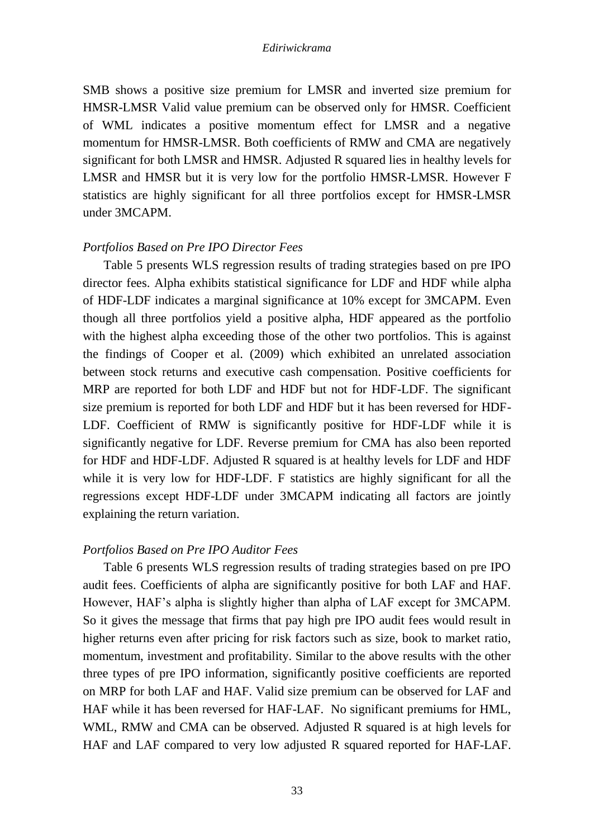SMB shows a positive size premium for LMSR and inverted size premium for HMSR-LMSR Valid value premium can be observed only for HMSR. Coefficient of WML indicates a positive momentum effect for LMSR and a negative momentum for HMSR-LMSR. Both coefficients of RMW and CMA are negatively significant for both LMSR and HMSR. Adjusted R squared lies in healthy levels for LMSR and HMSR but it is very low for the portfolio HMSR-LMSR. However F statistics are highly significant for all three portfolios except for HMSR-LMSR under 3MCAPM.

# *Portfolios Based on Pre IPO Director Fees*

Table 5 presents WLS regression results of trading strategies based on pre IPO director fees. Alpha exhibits statistical significance for LDF and HDF while alpha of HDF-LDF indicates a marginal significance at 10% except for 3MCAPM. Even though all three portfolios yield a positive alpha, HDF appeared as the portfolio with the highest alpha exceeding those of the other two portfolios. This is against the findings of Cooper et al. (2009) which exhibited an unrelated association between stock returns and executive cash compensation. Positive coefficients for MRP are reported for both LDF and HDF but not for HDF-LDF. The significant size premium is reported for both LDF and HDF but it has been reversed for HDF-LDF. Coefficient of RMW is significantly positive for HDF-LDF while it is significantly negative for LDF. Reverse premium for CMA has also been reported for HDF and HDF-LDF. Adjusted R squared is at healthy levels for LDF and HDF while it is very low for HDF-LDF. F statistics are highly significant for all the regressions except HDF-LDF under 3MCAPM indicating all factors are jointly explaining the return variation.

# *Portfolios Based on Pre IPO Auditor Fees*

Table 6 presents WLS regression results of trading strategies based on pre IPO audit fees. Coefficients of alpha are significantly positive for both LAF and HAF. However, HAF's alpha is slightly higher than alpha of LAF except for 3MCAPM. So it gives the message that firms that pay high pre IPO audit fees would result in higher returns even after pricing for risk factors such as size, book to market ratio, momentum, investment and profitability. Similar to the above results with the other three types of pre IPO information, significantly positive coefficients are reported on MRP for both LAF and HAF. Valid size premium can be observed for LAF and HAF while it has been reversed for HAF-LAF. No significant premiums for HML, WML, RMW and CMA can be observed. Adjusted R squared is at high levels for HAF and LAF compared to very low adjusted R squared reported for HAF-LAF.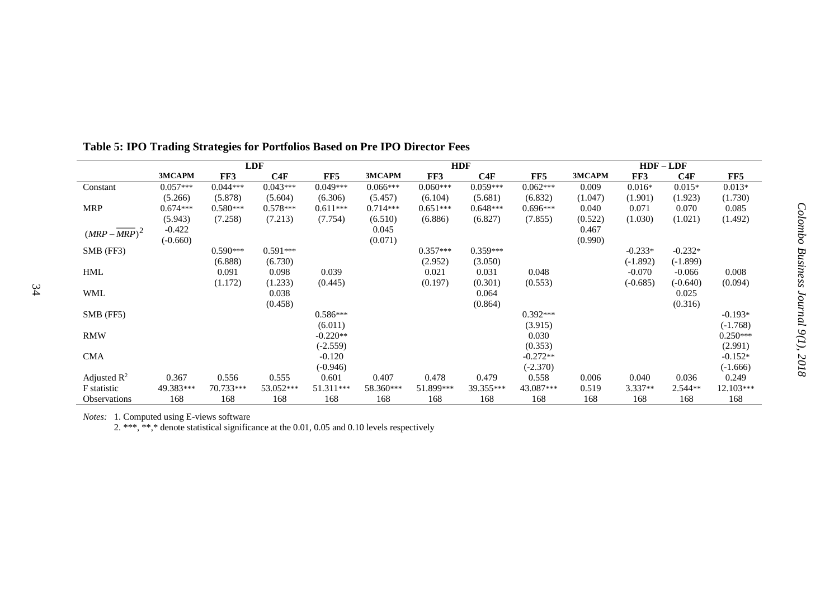|                         | LDF        |            |            |            | <b>HDF</b> |            |            |            |         | $HDF-LDF$  |            |            |
|-------------------------|------------|------------|------------|------------|------------|------------|------------|------------|---------|------------|------------|------------|
|                         | 3MCAPM     | FF3        | C4F        | FF5        | 3MCAPM     | FF3        | C4F        | FF5        | 3MCAPM  | FF3        | C4F        | FF5        |
| Constant                | $0.057***$ | $0.044***$ | $0.043***$ | $0.049***$ | $0.066***$ | $0.060***$ | $0.059***$ | $0.062***$ | 0.009   | $0.016*$   | $0.015*$   | $0.013*$   |
|                         | (5.266)    | (5.878)    | (5.604)    | (6.306)    | (5.457)    | (6.104)    | (5.681)    | (6.832)    | (1.047) | (1.901)    | (1.923)    | (1.730)    |
| <b>MRP</b>              | $0.674***$ | $0.580***$ | $0.578***$ | $0.611***$ | $0.714***$ | $0.651***$ | $0.648***$ | $0.696***$ | 0.040   | 0.071      | 0.070      | 0.085      |
|                         | (5.943)    | (7.258)    | (7.213)    | (7.754)    | (6.510)    | (6.886)    | (6.827)    | (7.855)    | (0.522) | (1.030)    | (1.021)    | (1.492)    |
| $(MRP-MRP)^2$           | $-0.422$   |            |            |            | 0.045      |            |            |            | 0.467   |            |            |            |
|                         | $(-0.660)$ |            |            |            | (0.071)    |            |            |            | (0.990) |            |            |            |
| $SMB$ (FF3)             |            | $0.590***$ | $0.591***$ |            |            | $0.357***$ | $0.359***$ |            |         | $-0.233*$  | $-0.232*$  |            |
|                         |            | (6.888)    | (6.730)    |            |            | (2.952)    | (3.050)    |            |         | $(-1.892)$ | $(-1.899)$ |            |
| <b>HML</b>              |            | 0.091      | 0.098      | 0.039      |            | 0.021      | 0.031      | 0.048      |         | $-0.070$   | $-0.066$   | 0.008      |
|                         |            | (1.172)    | (1.233)    | (0.445)    |            | (0.197)    | (0.301)    | (0.553)    |         | $(-0.685)$ | $(-0.640)$ | (0.094)    |
| <b>WML</b>              |            |            | 0.038      |            |            |            | 0.064      |            |         |            | 0.025      |            |
|                         |            |            | (0.458)    |            |            |            | (0.864)    |            |         |            | (0.316)    |            |
| $SMB$ (FF5)             |            |            |            | $0.586***$ |            |            |            | $0.392***$ |         |            |            | $-0.193*$  |
|                         |            |            |            | (6.011)    |            |            |            | (3.915)    |         |            |            | $(-1.768)$ |
| <b>RMW</b>              |            |            |            | $-0.220**$ |            |            |            | 0.030      |         |            |            | $0.250***$ |
|                         |            |            |            | $(-2.559)$ |            |            |            | (0.353)    |         |            |            | (2.991)    |
| <b>CMA</b>              |            |            |            | $-0.120$   |            |            |            | $-0.272**$ |         |            |            | $-0.152*$  |
|                         |            |            |            | $(-0.946)$ |            |            |            | $(-2.370)$ |         |            |            | $(-1.666)$ |
| Adjusted $\mathbb{R}^2$ | 0.367      | 0.556      | 0.555      | 0.601      | 0.407      | 0.478      | 0.479      | 0.558      | 0.006   | 0.040      | 0.036      | 0.249      |
| F statistic             | 49.383***  | 70.733***  | 53.052***  | 51.311***  | 58.360***  | 51.899***  | 39.355***  | 43.087***  | 0.519   | 3.337**    | $2.544**$  | 12.103***  |
| <b>Observations</b>     | 168        | 168        | 168        | 168        | 168        | 168        | 168        | 168        | 168     | 168        | 168        | 168        |

**Table 5: IPO Trading Strategies for Portfolios Based on Pre IPO Director Fees**

*Notes:* 1. Computed using E-views software

2. \*\*\*, \*\*,\* denote statistical significance at the 0.01, 0.05 and 0.10 levels respectively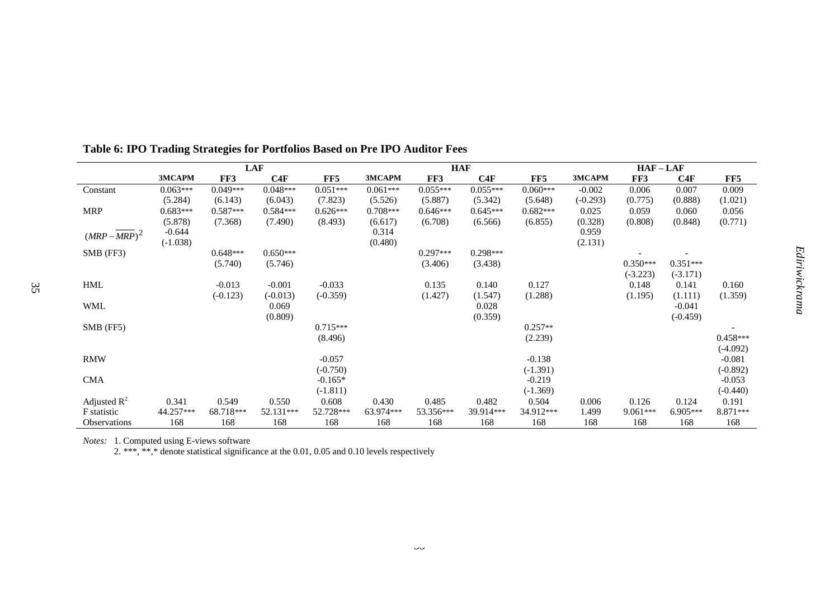|                         | <b>LAF</b> |            |            |            | <b>HAF</b> |            |            |            | $HAF-LAF$  |            |            |            |
|-------------------------|------------|------------|------------|------------|------------|------------|------------|------------|------------|------------|------------|------------|
|                         | 3MCAPM     | FF3        | C4F        | FF5        | 3MCAPM     | FF3        | C4F        | FF5        | 3MCAPM     | FF3        | C4F        | FF5        |
| Constant                | $0.063***$ | $0.049***$ | $0.048***$ | $0.051***$ | $0.061***$ | $0.055***$ | $0.055***$ | $0.060***$ | $-0.002$   | 0.006      | 0.007      | 0.009      |
|                         | (5.284)    | (6.143)    | (6.043)    | (7.823)    | (5.526)    | (5.887)    | (5.342)    | (5.648)    | $(-0.293)$ | (0.775)    | (0.888)    | (1.021)    |
| <b>MRP</b>              | $0.683***$ | $0.587***$ | $0.584***$ | $0.626***$ | $0.708***$ | $0.646***$ | $0.645***$ | $0.682***$ | 0.025      | 0.059      | 0.060      | 0.056      |
|                         | (5.878)    | (7.368)    | (7.490)    | (8.493)    | (6.617)    | (6.708)    | (6.566)    | (6.855)    | (0.328)    | (0.808)    | (0.848)    | (0.771)    |
| $(MRP-MRP)^2$           | $-0.644$   |            |            |            | 0.314      |            |            |            | 0.959      |            |            |            |
|                         | $(-1.038)$ |            |            |            | (0.480)    |            |            |            | (2.131)    |            |            |            |
| $SMB$ (FF3)             |            | $0.648***$ | $0.650***$ |            |            | $0.297***$ | $0.298***$ |            |            |            |            |            |
|                         |            | (5.740)    | (5.746)    |            |            | (3.406)    | (3.438)    |            |            | $0.350***$ | $0.351***$ |            |
|                         |            |            |            |            |            |            |            |            |            | $(-3.223)$ | $(-3.171)$ |            |
| <b>HML</b>              |            | $-0.013$   | $-0.001$   | $-0.033$   |            | 0.135      | 0.140      | 0.127      |            | 0.148      | 0.141      | 0.160      |
|                         |            | $(-0.123)$ | $(-0.013)$ | $(-0.359)$ |            | (1.427)    | (1.547)    | (1.288)    |            | (1.195)    | (1.111)    | (1.359)    |
| <b>WML</b>              |            |            | 0.069      |            |            |            | 0.028      |            |            |            | $-0.041$   |            |
|                         |            |            | (0.809)    |            |            |            | (0.359)    |            |            |            | $(-0.459)$ |            |
| SMB (FF5)               |            |            |            | $0.715***$ |            |            |            | $0.257**$  |            |            |            |            |
|                         |            |            |            | (8.496)    |            |            |            | (2.239)    |            |            |            | $0.458***$ |
|                         |            |            |            |            |            |            |            |            |            |            |            | $(-4.092)$ |
| <b>RMW</b>              |            |            |            | $-0.057$   |            |            |            | $-0.138$   |            |            |            | $-0.081$   |
|                         |            |            |            | $(-0.750)$ |            |            |            | $(-1.391)$ |            |            |            | $(-0.892)$ |
| <b>CMA</b>              |            |            |            | $-0.165*$  |            |            |            | $-0.219$   |            |            |            | $-0.053$   |
|                         |            |            |            | $(-1.811)$ |            |            |            | $(-1.369)$ |            |            |            | $(-0.440)$ |
| Adjusted $\mathbb{R}^2$ | 0.341      | 0.549      | 0.550      | 0.608      | 0.430      | 0.485      | 0.482      | 0.504      | 0.006      | 0.126      | 0.124      | 0.191      |
| F statistic             | 44.257***  | 68.718***  | 52.131***  | 52.728***  | 63.974***  | 53.356***  | 39.914***  | 34.912***  | 1.499      | 9.061***   | 6.905***   | 8.871***   |
| <b>Observations</b>     | 168        | 168        | 168        | 168        | 168        | 168        | 168        | 168        | 168        | 168        | 168        | 168        |

# **Table 6: IPO Trading Strategies for Portfolios Based on Pre IPO Auditor Fees**

*Notes:* 1. Computed using E-views software

2. \*\*\*, \*\*,\* denote statistical significance at the 0.01, 0.05 and 0.10 levels respectively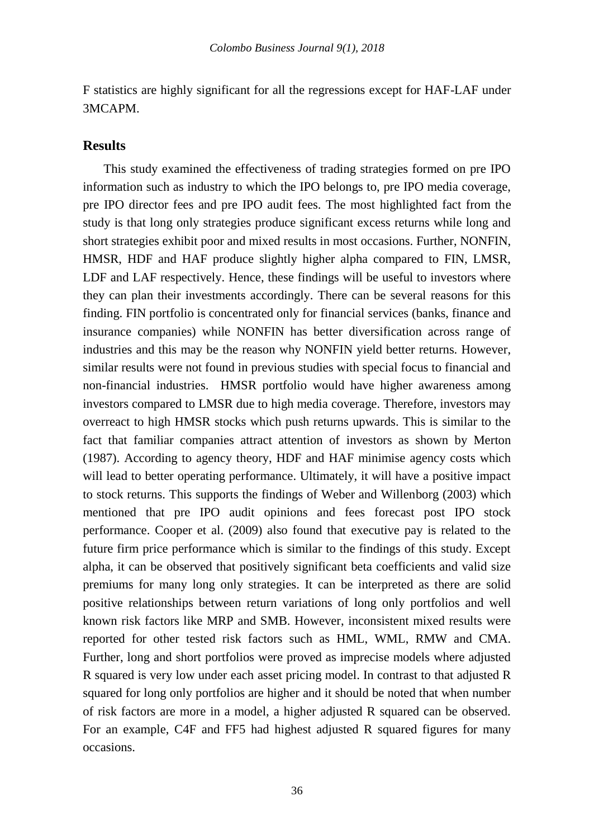F statistics are highly significant for all the regressions except for HAF-LAF under 3MCAPM.

# **Results**

This study examined the effectiveness of trading strategies formed on pre IPO information such as industry to which the IPO belongs to, pre IPO media coverage, pre IPO director fees and pre IPO audit fees. The most highlighted fact from the study is that long only strategies produce significant excess returns while long and short strategies exhibit poor and mixed results in most occasions. Further, NONFIN, HMSR, HDF and HAF produce slightly higher alpha compared to FIN, LMSR, LDF and LAF respectively. Hence, these findings will be useful to investors where they can plan their investments accordingly. There can be several reasons for this finding. FIN portfolio is concentrated only for financial services (banks, finance and insurance companies) while NONFIN has better diversification across range of industries and this may be the reason why NONFIN yield better returns. However, similar results were not found in previous studies with special focus to financial and non-financial industries. HMSR portfolio would have higher awareness among investors compared to LMSR due to high media coverage. Therefore, investors may overreact to high HMSR stocks which push returns upwards. This is similar to the fact that familiar companies attract attention of investors as shown by Merton (1987). According to agency theory, HDF and HAF minimise agency costs which will lead to better operating performance. Ultimately, it will have a positive impact to stock returns. This supports the findings of Weber and Willenborg (2003) which mentioned that pre IPO audit opinions and fees forecast post IPO stock performance. Cooper et al. (2009) also found that executive pay is related to the future firm price performance which is similar to the findings of this study. Except alpha, it can be observed that positively significant beta coefficients and valid size premiums for many long only strategies. It can be interpreted as there are solid positive relationships between return variations of long only portfolios and well known risk factors like MRP and SMB. However, inconsistent mixed results were reported for other tested risk factors such as HML, WML, RMW and CMA. Further, long and short portfolios were proved as imprecise models where adjusted R squared is very low under each asset pricing model. In contrast to that adjusted R squared for long only portfolios are higher and it should be noted that when number of risk factors are more in a model, a higher adjusted R squared can be observed. For an example, C4F and FF5 had highest adjusted R squared figures for many occasions.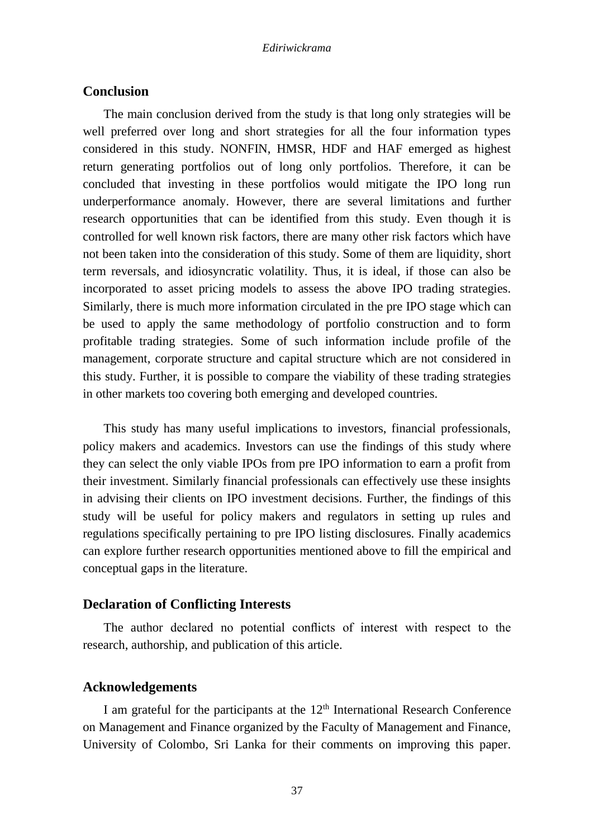# **Conclusion**

The main conclusion derived from the study is that long only strategies will be well preferred over long and short strategies for all the four information types considered in this study. NONFIN, HMSR, HDF and HAF emerged as highest return generating portfolios out of long only portfolios. Therefore, it can be concluded that investing in these portfolios would mitigate the IPO long run underperformance anomaly. However, there are several limitations and further research opportunities that can be identified from this study. Even though it is controlled for well known risk factors, there are many other risk factors which have not been taken into the consideration of this study. Some of them are liquidity, short term reversals, and idiosyncratic volatility. Thus, it is ideal, if those can also be incorporated to asset pricing models to assess the above IPO trading strategies. Similarly, there is much more information circulated in the pre IPO stage which can be used to apply the same methodology of portfolio construction and to form profitable trading strategies. Some of such information include profile of the management, corporate structure and capital structure which are not considered in this study. Further, it is possible to compare the viability of these trading strategies in other markets too covering both emerging and developed countries.

This study has many useful implications to investors, financial professionals, policy makers and academics. Investors can use the findings of this study where they can select the only viable IPOs from pre IPO information to earn a profit from their investment. Similarly financial professionals can effectively use these insights in advising their clients on IPO investment decisions. Further, the findings of this study will be useful for policy makers and regulators in setting up rules and regulations specifically pertaining to pre IPO listing disclosures. Finally academics can explore further research opportunities mentioned above to fill the empirical and conceptual gaps in the literature.

# **Declaration of Conflicting Interests**

The author declared no potential conflicts of interest with respect to the research, authorship, and publication of this article.

# **Acknowledgements**

I am grateful for the participants at the  $12<sup>th</sup>$  International Research Conference on Management and Finance organized by the Faculty of Management and Finance, University of Colombo, Sri Lanka for their comments on improving this paper.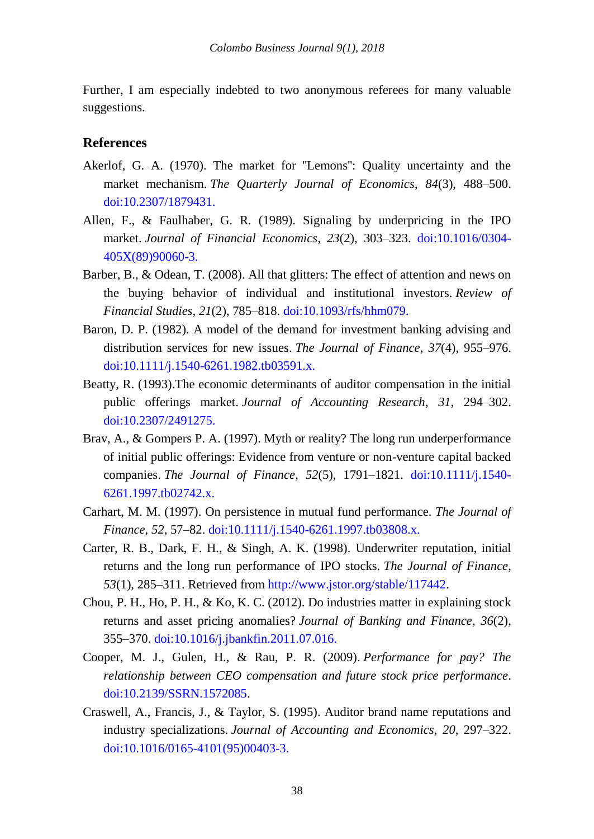Further, I am especially indebted to two anonymous referees for many valuable suggestions.

# **References**

- Akerlof, G. A. (1970). The market for ''Lemons'': Quality uncertainty and the market mechanism. *The Quarterly Journal of Economics*, *84*(3), 488–500. [doi:10.2307/1879431.](https://academic.oup.com/qje/article-abstract/84/3/488/1896241?redirectedFrom=fulltext)
- Allen, F., & Faulhaber, G. R. (1989). Signaling by underpricing in the IPO market. *Journal of Financial Economics*, *23*(2), 303–323. [doi:10.1016/0304-](https://econpapers.repec.org/article/eeejfinec/v_3a23_3ay_3a1989_3ai_3a2_3ap_3a303-323.htm) [405X\(89\)90060-3.](https://econpapers.repec.org/article/eeejfinec/v_3a23_3ay_3a1989_3ai_3a2_3ap_3a303-323.htm)
- Barber, B., & Odean, T. (2008). All that glitters: The effect of attention and news on the buying behavior of individual and institutional investors. *Review of Financial Studies*, *21*(2), 785–818. [doi:10.1093/rfs/hhm079.](http://faculty.haas.berkeley.edu/odean/papers%20current%20versions/allthatglitters_rfs_2008.pdf)
- Baron, D. P. (1982). A model of the demand for investment banking advising and distribution services for new issues. *The Journal of Finance*, *37*(4), 955–976. [doi:10.1111/j.1540-6261.1982.tb03591.x.](https://onlinelibrary.wiley.com/doi/full/10.1111/j.1540-6261.1982.tb03591.x)
- Beatty, R. (1993).The economic determinants of auditor compensation in the initial public offerings market. *Journal of Accounting Research*, *31*, 294–302. [doi:10.2307/2491275.](https://econpapers.repec.org/article/blajoares/v_3a31_3ay_3a1993_3ai_3a2_3ap_3a294-302.htm)
- Brav, A., & Gompers P. A. (1997). Myth or reality? The long run underperformance of initial public offerings: Evidence from venture or non-venture capital backed companies. *The Journal of Finance, 52*(5), 1791–1821. [doi:10.1111/j.1540-](https://onlinelibrary.wiley.com/doi/abs/10.1111/j.1540-6261.1997.tb02742.x) [6261.1997.tb02742.x.](https://onlinelibrary.wiley.com/doi/abs/10.1111/j.1540-6261.1997.tb02742.x)
- Carhart, M. M. (1997). On persistence in mutual fund performance. *The Journal of Finance*, *52*, 57–82. [doi:10.1111/j.1540-6261.1997.tb03808.x.](https://onlinelibrary.wiley.com/doi/abs/10.1111/j.1540-6261.1997.tb03808.x)
- Carter, R. B., Dark, F. H., & Singh, A. K. (1998). Underwriter reputation, initial returns and the long run performance of IPO stocks. *The Journal of Finance, 53*(1), 285–311. Retrieved from [http://www.jstor.org/stable/117442.](http://www.jstor.org/stable/117442)
- Chou, P. H., Ho, P. H., & Ko, K. C. (2012). Do industries matter in explaining stock returns and asset pricing anomalies? *Journal of Banking and Finance*, *36*(2), 355–370. [doi:10.1016/j.jbankfin.2011.07.016.](https://ideas.repec.org/a/eee/jbfina/v36y2012i2p355-370.html)
- Cooper, M. J., Gulen, H., & Rau, P. R. (2009). *Performance for pay? The relationship between CEO compensation and future stock price performance*. [doi:10.2139/SSRN.1572085.](https://papers.ssrn.com/sol3/papers.cfm?abstract_id=1572085)
- Craswell, A., Francis, J., & Taylor, S. (1995). Auditor brand name reputations and industry specializations. *Journal of Accounting and Economics*, *20*, 297–322. [doi:10.1016/0165-4101\(95\)00403-3.](https://www.sciencedirect.com/science/article/pii/0165410195004033)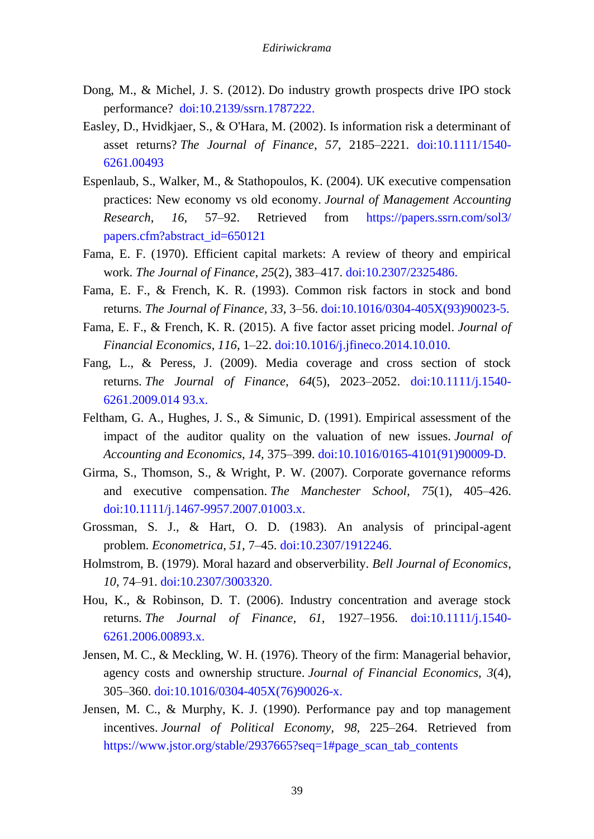- Dong, M., & Michel, J. S. (2012). Do industry growth prospects drive IPO stock performance? [doi:10.2139/ssrn.1787222.](https://papers.ssrn.com/sol3/papers.cfm?abstract_id=1787222)
- Easley, D., Hvidkjaer, S., & O'Hara, M. (2002). Is information risk a determinant of asset returns? *The Journal of Finance*, *57*, 2185–2221. [doi:10.1111/1540-](https://onlinelibrary.wiley.com/doi/abs/10.1111/1540-6261.00493) [6261.00493](https://onlinelibrary.wiley.com/doi/abs/10.1111/1540-6261.00493)
- Espenlaub, S., Walker, M., & Stathopoulos, K. (2004). UK executive compensation practices: New economy vs old economy. *Journal of Management Accounting Research*, *16*, 57–92. Retrieved from [https://papers.ssrn.com/sol3/](https://papers.ssrn.com/sol3/%20papers.cfm?abstract_id=650121)  [papers.cfm?abstract\\_id=650121](https://papers.ssrn.com/sol3/%20papers.cfm?abstract_id=650121)
- Fama, E. F. (1970). Efficient capital markets: A review of theory and empirical work. *The Journal of Finance*, *25*(2), 383–417. [doi:10.2307/2325486.](https://www.jstor.org/stable/2325486?seq=1#page_scan_tab_contents)
- Fama, E. F., & French, K. R. (1993). Common risk factors in stock and bond returns. *The Journal of Finance, 33*, 3–56. [doi:10.1016/0304-405X\(93\)90023-5.](https://www.sciencedirect.com/science/article/pii/0304405X93900235)
- Fama, E. F., & French, K. R. (2015). A five factor asset pricing model. *Journal of Financial Economics*, *116*, 1–22. [doi:10.1016/j.jfineco.2014.10.010.](https://www.sciencedirect.com/science/article/pii/S0304405X14002323)
- Fang, L., & Peress, J. (2009). Media coverage and cross section of stock returns. *The Journal of Finance, 64*(5), 2023–2052. [doi:10.1111/j.1540-](https://onlinelibrary.wiley.com/doi/abs/10.1111/j.1540-6261.2009.01493.x) [6261.2009.014 93.x.](https://onlinelibrary.wiley.com/doi/abs/10.1111/j.1540-6261.2009.01493.x)
- Feltham, G. A., Hughes, J. S., & Simunic, D. (1991). Empirical assessment of the impact of the auditor quality on the valuation of new issues. *Journal of Accounting and Economics*, *14*, 375–399. [doi:10.1016/0165-4101\(91\)90009-D.](https://www.sciencedirect.com/science/article/pii/016541019190009D)
- Girma, S., Thomson, S., & Wright, P. W. (2007). Corporate governance reforms and executive compensation. *The Manchester School, 75*(1), 405–426. [doi:10.1111/j.1467-9957.2007.01003.x.](https://onlinelibrary.wiley.com/doi/abs/10.1111/j.1467-9957.2007.01003.x)
- Grossman, S. J., & Hart, O. D. (1983). An analysis of principal-agent problem. *Econometrica*, *51*, 7–45. [doi:10.2307/1912246.](https://www.jstor.org/stable/1912246?seq=1#page_scan_tab_contents)
- Holmstrom, B. (1979). Moral hazard and observerbility. *Bell Journal of Economics*, *10*, 74–91. [doi:10.2307/3003320.](https://www.jstor.org/stable/3003320?seq=1#page_scan_tab_contents)
- Hou, K., & Robinson, D. T. (2006). Industry concentration and average stock returns. *The Journal of Finance, 61*, 1927–1956. [doi:10.1111/j.1540-](https://onlinelibrary.wiley.com/doi/abs/10.1111/j.1540-6261.2006.00893.x) [6261.2006.00893.x.](https://onlinelibrary.wiley.com/doi/abs/10.1111/j.1540-6261.2006.00893.x)
- Jensen, M. C., & Meckling, W. H. (1976). Theory of the firm: Managerial behavior, agency costs and ownership structure. *Journal of Financial Economics, 3*(4), 305–360. [doi:10.1016/0304-405X\(76\)90026-x.](https://www.sciencedirect.com/science/article/pii/0304405X7690026X)
- Jensen, M. C., & Murphy, K. J. (1990). Performance pay and top management incentives. *Journal of Political Economy, 98*, 225–264. Retrieved from [https://www.jstor.org/stable/2937665?seq=1#page\\_scan\\_tab\\_contents](https://www.jstor.org/stable/2937665?seq=1#page_scan_tab_contents)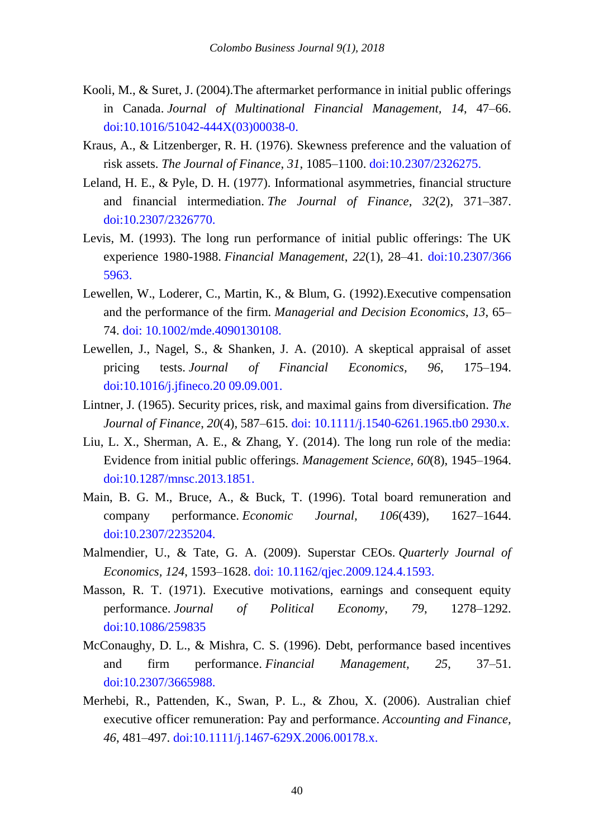- Kooli, M., & Suret, J. (2004).The aftermarket performance in initial public offerings in Canada. *Journal of Multinational Financial Management, 14*, 47–66. [doi:10.1016/51042-444X\(03\)00038-0.](https://www.sciencedirect.com/science/article/pii/S1042444X03000380)
- Kraus, A., & Litzenberger, R. H. (1976). Skewness preference and the valuation of risk assets. *The Journal of Finance*, *31*, 1085–1100. [doi:10.2307/2326275.](https://www.jstor.org/stable/2326275?seq=1#page_scan_tab_contents)
- Leland, H. E., & Pyle, D. H. (1977). Informational asymmetries, financial structure and financial intermediation. *The Journal of Finance*, *32*(2), 371–387. [doi:10.2307/2326770.](https://www.jstor.org/stable/2326770?seq=1#page_scan_tab_contents)
- Levis, M. (1993). The long run performance of initial public offerings: The UK experience 1980-1988. *Financial Management*, *22*(1), 28–41. [doi:10.2307/366](https://www.jstor.org/stable/3665963?seq=1#page_scan_tab_contents)  [5963.](https://www.jstor.org/stable/3665963?seq=1#page_scan_tab_contents)
- Lewellen, W., Loderer, C., Martin, K., & Blum, G. (1992).Executive compensation and the performance of the firm. *Managerial and Decision Economics*, *13*, 65– 74. [doi: 10.1002/mde.4090130108.](https://onlinelibrary.wiley.com/doi/pdf/10.1002/mde.4090130108)
- Lewellen, J., Nagel, S., & Shanken, J. A. (2010). A skeptical appraisal of asset pricing tests. *Journal of Financial Economics, 96*, 175–194. [doi:10.1016/j.jfineco.20 09.09.001.](https://www.sciencedirect.com/science/article/pii/S0304405X09001950)
- Lintner, J. (1965). Security prices, risk, and maximal gains from diversification. *The Journal of Finance*, *20*(4), 587–615. [doi: 10.1111/j.1540-6261.1965.tb0 2930.x.](https://onlinelibrary.wiley.com/doi/full/10.1111/j.1540-6261.1965.tb02930.x)
- Liu, L. X., Sherman, A. E., & Zhang, Y. (2014). The long run role of the media: Evidence from initial public offerings. *Management Science, 60*(8), 1945–1964. [doi:10.1287/mnsc.2013.1851.](https://pubsonline.informs.org/doi/abs/10.1287/mnsc.2013.1851)
- Main, B. G. M., Bruce, A., & Buck, T. (1996). Total board remuneration and company performance. *Economic Journal, 106*(439), 1627–1644. [doi:10.2307/2235204.](https://www.jstor.org/stable/2235204?seq=1#page_scan_tab_contents)
- Malmendier, U., & Tate, G. A. (2009). Superstar CEOs. *Quarterly Journal of Economics, 124*, 1593–1628. [doi: 10.1162/qjec.2009.124.4.1593.](https://academic.oup.com/qje/article/124/4/1593/1917196)
- Masson, R. T. (1971). Executive motivations, earnings and consequent equity performance. *Journal of Political Economy*, *79*, 1278–1292. [doi:10.1086/259835](https://www.journals.uchicago.edu/doi/abs/10.1086/259835)
- McConaughy, D. L., & Mishra, C. S. (1996). Debt, performance based incentives and firm performance. *Financial Management, 25*, 37–51. [doi:10.2307/3665988.](https://www.jstor.org/stable/3665988?seq=1#page_scan_tab_contents)
- Merhebi, R., Pattenden, K., Swan, P. L., & Zhou, X. (2006). Australian chief executive officer remuneration: Pay and performance. *Accounting and Finance, 46*, 481–497. [doi:10.1111/j.1467-629X.2006.00178.x.](https://onlinelibrary.wiley.com/doi/abs/10.1111/j.1467-629X.2006.00178.x)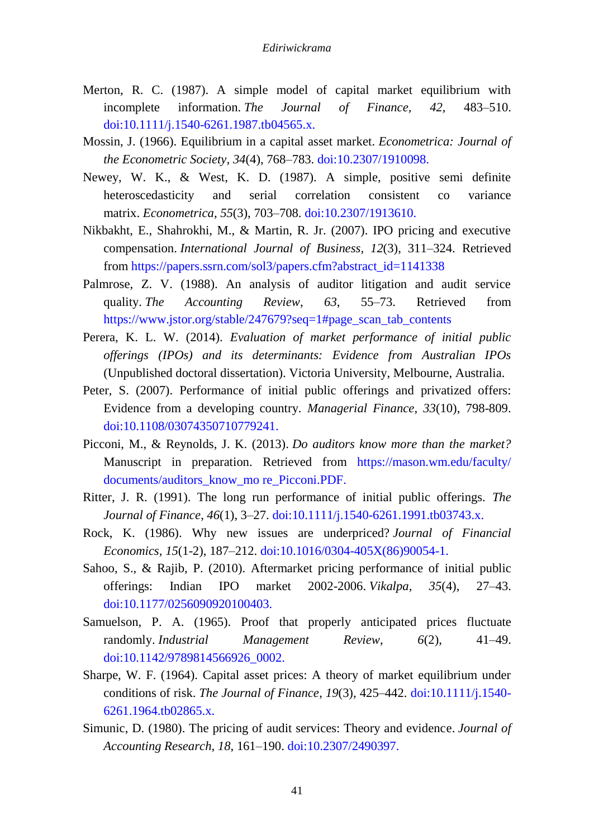- Merton, R. C. (1987). A simple model of capital market equilibrium with incomplete information. *The Journal of Finance, 42*, 483–510. [doi:10.1111/j.1540-6261.1987.tb04565.x.](https://onlinelibrary.wiley.com/doi/abs/10.1111/j.1540-6261.1987.tb04565.x)
- Mossin, J. (1966). Equilibrium in a capital asset market. *Econometrica: Journal of the Econometric Society, 34*(4), 768–783[. doi:10.2307/1910098.](https://www.jstor.org/stable/1910098?seq=1#page_scan_tab_contents)
- Newey, W. K., & West, K. D. (1987). A simple, positive semi definite heteroscedasticity and serial correlation consistent co variance matrix. *Econometrica*, *55*(3), 703–708[. doi:10.2307/1913610.](http://www.nber.org/papers/t0055)
- Nikbakht, E., Shahrokhi, M., & Martin, R. Jr. (2007). IPO pricing and executive compensation. *International Journal of Business, 12*(3), 311–324. Retrieved from [https://papers.ssrn.com/sol3/papers.cfm?abstract\\_id=1141338](https://papers.ssrn.com/sol3/papers.cfm?abstract_id=1141338)
- Palmrose, Z. V. (1988). An analysis of auditor litigation and audit service quality. *The Accounting Review*, *63*, 55–73. Retrieved from [https://www.jstor.org/stable/247679?seq=1#page\\_scan\\_tab\\_contents](https://www.jstor.org/stable/247679?seq=1#page_scan_tab_contents)
- Perera, K. L. W. (2014). *Evaluation of market performance of initial public offerings (IPOs) and its determinants: Evidence from Australian IPOs*  (Unpublished doctoral dissertation). Victoria University, Melbourne, Australia.
- Peter, S. (2007). Performance of initial public offerings and privatized offers: Evidence from a developing country. *Managerial Finance*, *33*(10), 798-809. [doi:10.1108/03074350710779241.](https://www.emeraldinsight.com/doi/full/10.1108/03074350710779241)
- Picconi, M., & Reynolds, J. K. (2013). *Do auditors know more than the market?* Manuscript in preparation. Retrieved from [https://mason.wm.edu/faculty/](https://mason.wm.edu/faculty/%20documents/auditors_know_mo%20re_Picconi.PDF.)  [documents/auditors\\_know\\_mo re\\_Picconi.PDF.](https://mason.wm.edu/faculty/%20documents/auditors_know_mo%20re_Picconi.PDF.)
- Ritter, J. R. (1991). The long run performance of initial public offerings. *The Journal of Finance*, *46*(1), 3–27[. doi:10.1111/j.1540-6261.1991.tb03743.x.](https://onlinelibrary.wiley.com/doi/abs/10.1111/j.1540-6261.1991.tb03743.x)
- Rock, K. (1986). Why new issues are underpriced? *Journal of Financial Economics, 15*(1-2), 187–212. [doi:10.1016/0304-405X\(86\)90054-1.](https://www.sciencedirect.com/science/article/pii/0304405X86900541)
- Sahoo, S., & Rajib, P. (2010). Aftermarket pricing performance of initial public offerings: Indian IPO market 2002-2006. *Vikalpa, 35*(4), 27–43. [doi:10.1177/0256090920100403.](http://www.vikalpa.com/pdf/articles/2010/Vik354-03-ResSahoo.pdf)
- Samuelson, P. A. (1965). Proof that properly anticipated prices fluctuate randomly. *Industrial Management Review*, *6*(2), 41–49. [doi:10.1142/9789814566926\\_0002.](https://www.ifa.com/media/images/pdf%20files/samuelson-proof.pdf)
- Sharpe, W. F. (1964). Capital asset prices: A theory of market equilibrium under conditions of risk. *The Journal of Finance*, *19*(3), 425–442. [doi:10.1111/j.1540-](https://www.jstor.org/stable/2977928?seq=1#page_scan_tab_contents) [6261.1964.tb02865.x.](https://www.jstor.org/stable/2977928?seq=1#page_scan_tab_contents)
- Simunic, D. (1980). The pricing of audit services: Theory and evidence. *Journal of Accounting Research*, *18*, 161–190. [doi:10.2307/2490397.](https://www.jstor.org/stable/2490397?seq=1#page_scan_tab_contents)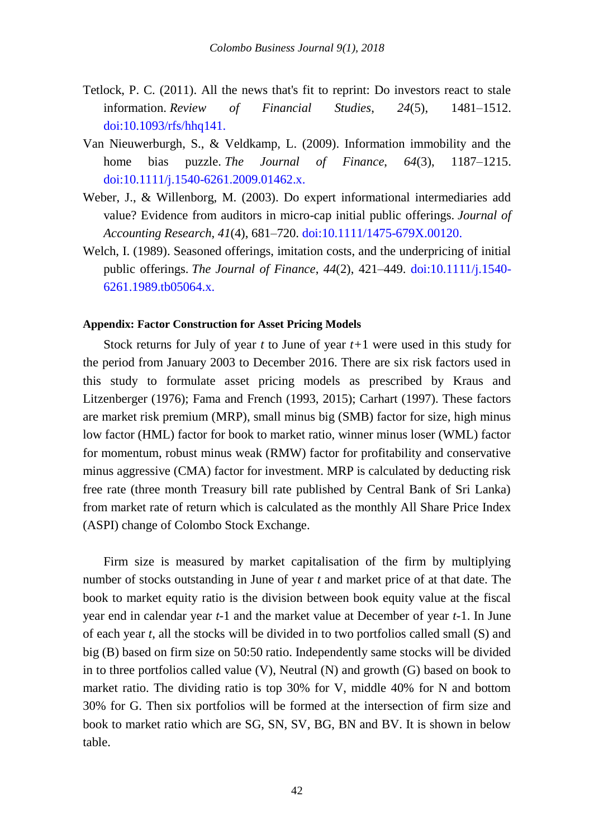- Tetlock, P. C. (2011). All the news that's fit to reprint: Do investors react to stale information. *Review of Financial Studies*, *24*(5), 1481–1512. [doi:10.1093/rfs/hhq141.](https://academic.oup.com/rfs/article/24/5/1481/1613314)
- Van Nieuwerburgh, S., & Veldkamp, L. (2009). Information immobility and the home bias puzzle. *The Journal of Finance*, *64*(3), 1187–1215. [doi:10.1111/j.1540-6261.2009.01462.x.](http://www.nber.org/papers/w13366)
- Weber, J., & Willenborg, M. (2003). Do expert informational intermediaries add value? Evidence from auditors in micro-cap initial public offerings. *Journal of Accounting Research*, *41*(4), 681–720. [doi:10.1111/1475-679X.00120.](https://onlinelibrary.wiley.com/doi/abs/10.1111/1475-679X.00120)
- Welch, I. (1989). Seasoned offerings, imitation costs, and the underpricing of initial public offerings. *The Journal of Finance*, *44*(2), 421–449. [doi:10.1111/j.1540-](https://www.jstor.org/stable/2328597?seq=1#page_scan_tab_contents) [6261.1989.tb05064.x.](https://www.jstor.org/stable/2328597?seq=1#page_scan_tab_contents)

#### **Appendix: Factor Construction for Asset Pricing Models**

Stock returns for July of year *t* to June of year *t+*1 were used in this study for the period from January 2003 to December 2016. There are six risk factors used in this study to formulate asset pricing models as prescribed by Kraus and Litzenberger (1976); Fama and French (1993, 2015); Carhart (1997). These factors are market risk premium (MRP), small minus big (SMB) factor for size, high minus low factor (HML) factor for book to market ratio, winner minus loser (WML) factor for momentum, robust minus weak (RMW) factor for profitability and conservative minus aggressive (CMA) factor for investment. MRP is calculated by deducting risk free rate (three month Treasury bill rate published by Central Bank of Sri Lanka) from market rate of return which is calculated as the monthly All Share Price Index (ASPI) change of Colombo Stock Exchange.

Firm size is measured by market capitalisation of the firm by multiplying number of stocks outstanding in June of year *t* and market price of at that date. The book to market equity ratio is the division between book equity value at the fiscal year end in calendar year *t-*1 and the market value at December of year *t-*1. In June of each year *t*, all the stocks will be divided in to two portfolios called small (S) and big (B) based on firm size on 50:50 ratio. Independently same stocks will be divided in to three portfolios called value (V), Neutral (N) and growth (G) based on book to market ratio. The dividing ratio is top 30% for V, middle 40% for N and bottom 30% for G. Then six portfolios will be formed at the intersection of firm size and book to market ratio which are SG, SN, SV, BG, BN and BV. It is shown in below table.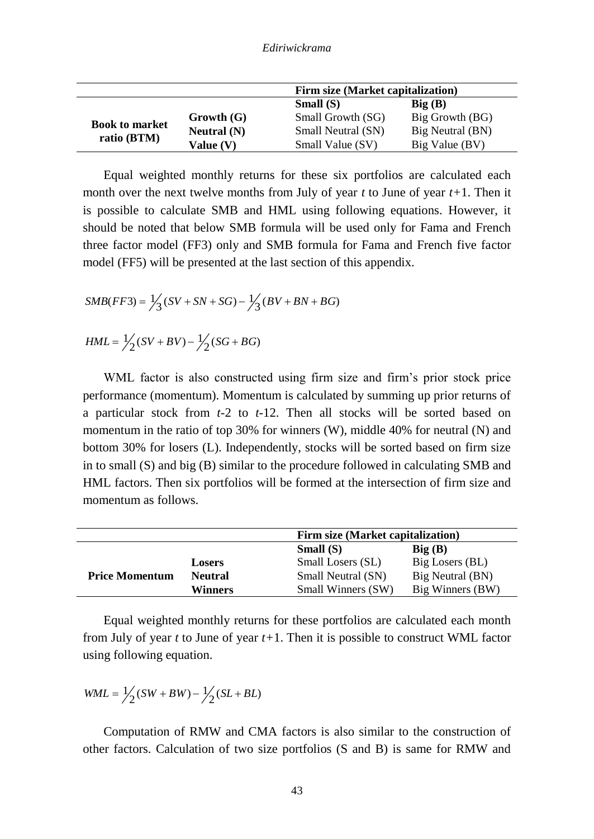|                                      |               | Firm size (Market capitalization) |                         |  |  |  |  |
|--------------------------------------|---------------|-----------------------------------|-------------------------|--|--|--|--|
|                                      |               | Small $(S)$                       | $\text{Big }(\text{B})$ |  |  |  |  |
| <b>Book to market</b><br>ratio (BTM) | Growth (G)    | Small Growth (SG)                 | Big Growth (BG)         |  |  |  |  |
|                                      | Neutral $(N)$ | Small Neutral (SN)                | Big Neutral (BN)        |  |  |  |  |
|                                      | Value (V)     | Small Value (SV)                  | Big Value (BV)          |  |  |  |  |

Equal weighted monthly returns for these six portfolios are calculated each month over the next twelve months from July of year *t* to June of year *t+*1. Then it is possible to calculate SMB and HML using following equations. However, it should be noted that below SMB formula will be used only for Fama and French three factor model (FF3) only and SMB formula for Fama and French five factor model (FF5) will be presented at the last section of this appendix.

$$
SMB(FF3) = \frac{1}{3}(SV + SN + SG) - \frac{1}{3}(BV + BN + BG)
$$
  
\n
$$
HML = \frac{1}{2}(SV + BV) - \frac{1}{2}(SG + BG)
$$

WML factor is also constructed using firm size and firm's prior stock price performance (momentum). Momentum is calculated by summing up prior returns of a particular stock from *t-*2 to *t-*12. Then all stocks will be sorted based on momentum in the ratio of top 30% for winners (W), middle 40% for neutral (N) and bottom 30% for losers (L). Independently, stocks will be sorted based on firm size in to small (S) and big (B) similar to the procedure followed in calculating SMB and HML factors. Then six portfolios will be formed at the intersection of firm size and momentum as follows.

|                       |                | Firm size (Market capitalization)      |                  |  |  |  |  |
|-----------------------|----------------|----------------------------------------|------------------|--|--|--|--|
|                       |                | Small $(S)$<br>$\text{Big }(\text{B})$ |                  |  |  |  |  |
|                       | <b>Losers</b>  | Small Losers (SL)                      | Big Losers (BL)  |  |  |  |  |
| <b>Price Momentum</b> | <b>Neutral</b> | Small Neutral (SN)                     | Big Neutral (BN) |  |  |  |  |
|                       | <b>Winners</b> | Small Winners (SW)                     | Big Winners (BW) |  |  |  |  |

Equal weighted monthly returns for these portfolios are calculated each month from July of year *t* to June of year *t+*1. Then it is possible to construct WML factor using following equation.

$$
WML = \frac{1}{2}(SW + BW) - \frac{1}{2}(SL + BL)
$$

Computation of RMW and CMA factors is also similar to the construction of other factors. Calculation of two size portfolios (S and B) is same for RMW and